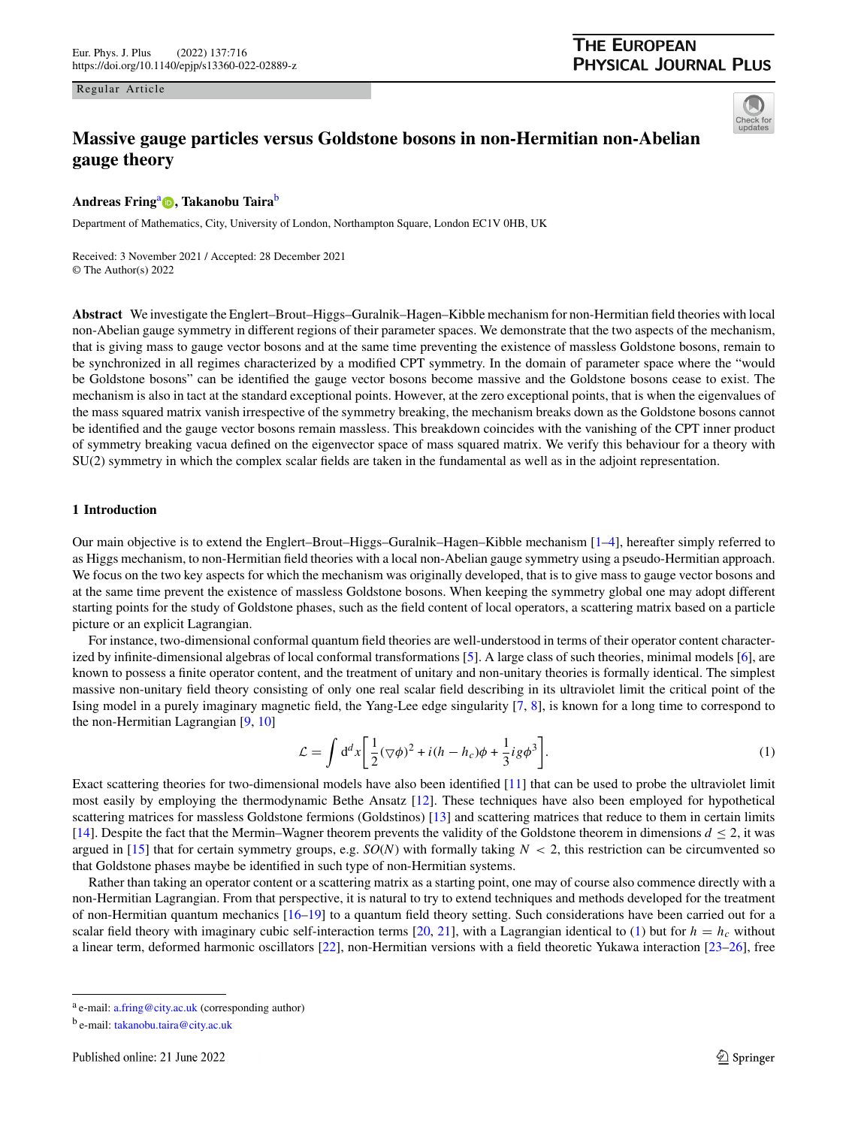Regular Article

# **THE EUROPEAN PHYSICAL JOURNAL PLUS**



# **Massive gauge particles versus Goldstone bosons in non-Hermitian non-Abelian gauge theory**

# **Andreas Fring**<sup>a</sup> **[,](http://orcid.org/0000-0002-7896-7161) Takanobu Taira**<sup>b</sup>

Department of Mathematics, City, University of London, Northampton Square, London EC1V 0HB, UK

Received: 3 November 2021 / Accepted: 28 December 2021 © The Author(s) 2022

**Abstract** We investigate the Englert–Brout–Higgs–Guralnik–Hagen–Kibble mechanism for non-Hermitian field theories with local non-Abelian gauge symmetry in different regions of their parameter spaces. We demonstrate that the two aspects of the mechanism, that is giving mass to gauge vector bosons and at the same time preventing the existence of massless Goldstone bosons, remain to be synchronized in all regimes characterized by a modified CPT symmetry. In the domain of parameter space where the "would be Goldstone bosons" can be identified the gauge vector bosons become massive and the Goldstone bosons cease to exist. The mechanism is also in tact at the standard exceptional points. However, at the zero exceptional points, that is when the eigenvalues of the mass squared matrix vanish irrespective of the symmetry breaking, the mechanism breaks down as the Goldstone bosons cannot be identified and the gauge vector bosons remain massless. This breakdown coincides with the vanishing of the CPT inner product of symmetry breaking vacua defined on the eigenvector space of mass squared matrix. We verify this behaviour for a theory with SU(2) symmetry in which the complex scalar fields are taken in the fundamental as well as in the adjoint representation.

## **1 Introduction**

Our main objective is to extend the Englert–Brout–Higgs–Guralnik–Hagen–Kibble mechanism [\[1](#page-13-0)[–4\]](#page-13-1), hereafter simply referred to as Higgs mechanism, to non-Hermitian field theories with a local non-Abelian gauge symmetry using a pseudo-Hermitian approach. We focus on the two key aspects for which the mechanism was originally developed, that is to give mass to gauge vector bosons and at the same time prevent the existence of massless Goldstone bosons. When keeping the symmetry global one may adopt different starting points for the study of Goldstone phases, such as the field content of local operators, a scattering matrix based on a particle picture or an explicit Lagrangian.

For instance, two-dimensional conformal quantum field theories are well-understood in terms of their operator content characterized by infinite-dimensional algebras of local conformal transformations [\[5\]](#page-13-2). A large class of such theories, minimal models [\[6\]](#page-13-3), are known to possess a finite operator content, and the treatment of unitary and non-unitary theories is formally identical. The simplest massive non-unitary field theory consisting of only one real scalar field describing in its ultraviolet limit the critical point of the Ising model in a purely imaginary magnetic field, the Yang-Lee edge singularity [\[7,](#page-13-4) [8\]](#page-13-5), is known for a long time to correspond to the non-Hermitian Lagrangian [\[9,](#page-13-6) [10\]](#page-13-7)

<span id="page-0-0"></span>
$$
\mathcal{L} = \int d^d x \left[ \frac{1}{2} (\nabla \phi)^2 + i (h - h_c) \phi + \frac{1}{3} i g \phi^3 \right].
$$
 (1)

Exact scattering theories for two-dimensional models have also been identified [\[11\]](#page-13-8) that can be used to probe the ultraviolet limit most easily by employing the thermodynamic Bethe Ansatz [\[12\]](#page-13-9). These techniques have also been employed for hypothetical scattering matrices for massless Goldstone fermions (Goldstinos) [\[13\]](#page-13-10) and scattering matrices that reduce to them in certain limits [\[14\]](#page-13-11). Despite the fact that the Mermin–Wagner theorem prevents the validity of the Goldstone theorem in dimensions *d* ≤ 2, it was argued in [\[15\]](#page-14-0) that for certain symmetry groups, e.g.  $SO(N)$  with formally taking  $N < 2$ , this restriction can be circumvented so that Goldstone phases maybe be identified in such type of non-Hermitian systems.

Rather than taking an operator content or a scattering matrix as a starting point, one may of course also commence directly with a non-Hermitian Lagrangian. From that perspective, it is natural to try to extend techniques and methods developed for the treatment of non-Hermitian quantum mechanics [\[16](#page-14-1)[–19\]](#page-14-2) to a quantum field theory setting. Such considerations have been carried out for a scalar field theory with imaginary cubic self-interaction terms  $[20, 21]$  $[20, 21]$  $[20, 21]$ , with a Lagrangian identical to  $(1)$  but for  $h = h_c$  without a linear term, deformed harmonic oscillators [\[22\]](#page-14-5), non-Hermitian versions with a field theoretic Yukawa interaction [\[23–](#page-14-6)[26\]](#page-14-7), free

<sup>a</sup> e-mail: [a.fring@city.ac.uk](mailto:a.fring@city.ac.uk) (corresponding author)

<sup>b</sup> e-mail: [takanobu.taira@city.ac.uk](mailto:takanobu.taira@city.ac.uk)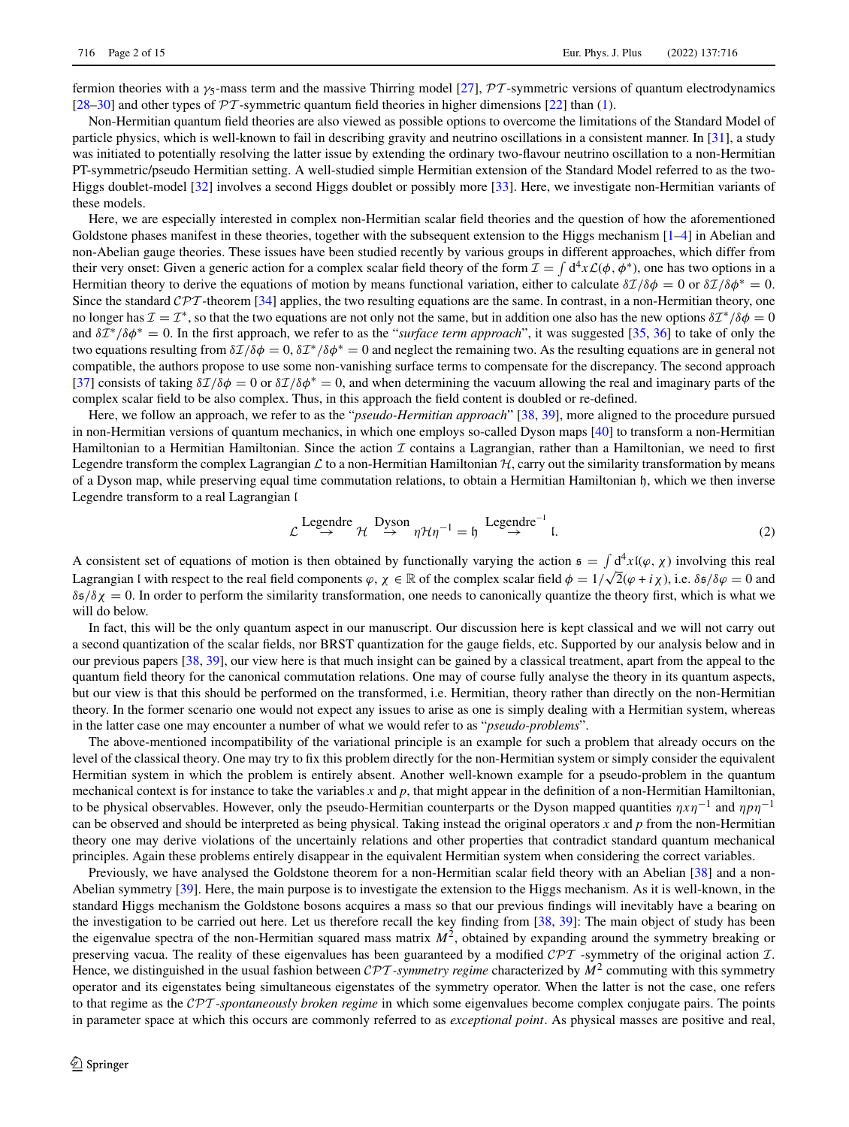fermion theories with a γ5-mass term and the massive Thirring model [\[27\]](#page-14-8), *PT* -symmetric versions of quantum electrodynamics [\[28](#page-14-9)[–30\]](#page-14-10) and other types of  $\mathcal{PT}$ -symmetric quantum field theories in higher dimensions [\[22\]](#page-14-5) than [\(1\)](#page-0-0).

Non-Hermitian quantum field theories are also viewed as possible options to overcome the limitations of the Standard Model of particle physics, which is well-known to fail in describing gravity and neutrino oscillations in a consistent manner. In [\[31\]](#page-14-11), a study was initiated to potentially resolving the latter issue by extending the ordinary two-flavour neutrino oscillation to a non-Hermitian PT-symmetric/pseudo Hermitian setting. A well-studied simple Hermitian extension of the Standard Model referred to as the two-Higgs doublet-model [\[32\]](#page-14-12) involves a second Higgs doublet or possibly more [\[33\]](#page-14-13). Here, we investigate non-Hermitian variants of these models.

Here, we are especially interested in complex non-Hermitian scalar field theories and the question of how the aforementioned Goldstone phases manifest in these theories, together with the subsequent extension to the Higgs mechanism  $[1-4]$  $[1-4]$  in Abelian and non-Abelian gauge theories. These issues have been studied recently by various groups in different approaches, which differ from their very onset: Given a generic action for a complex scalar field theory of the form  $\mathcal{I} = \int d^4x \mathcal{L}(\phi, \phi^*)$ , one has two options in a Hermitian theory to derive the equations of motion by means functional variation, either to calculate  $\delta\mathcal{I}/\delta\phi = 0$  or  $\delta\mathcal{I}/\delta\phi^* = 0$ . Since the standard *CPT* -theorem [\[34\]](#page-14-14) applies, the two resulting equations are the same. In contrast, in a non-Hermitian theory, one no longer has  $\mathcal{I} = \mathcal{I}^*$ , so that the two equations are not only not the same, but in addition one also has the new options  $\delta \mathcal{I}^* / \delta \phi = 0$ and δ*I*<sup>∗</sup>/δφ<sup>∗</sup> = 0. In the first approach, we refer to as the "*surface term approach*", it was suggested [\[35,](#page-14-15) [36\]](#page-14-16) to take of only the two equations resulting from  $\delta\mathcal{I}/\delta\phi = 0$ ,  $\delta\mathcal{I}^*/\delta\phi^* = 0$  and neglect the remaining two. As the resulting equations are in general not compatible, the authors propose to use some non-vanishing surface terms to compensate for the discrepancy. The second approach [\[37\]](#page-14-17) consists of taking  $\delta\mathcal{I}/\delta\phi = 0$  or  $\delta\mathcal{I}/\delta\phi^* = 0$ , and when determining the vacuum allowing the real and imaginary parts of the complex scalar field to be also complex. Thus, in this approach the field content is doubled or re-defined.

Here, we follow an approach, we refer to as the "*pseudo-Hermitian approach*" [\[38,](#page-14-18) [39\]](#page-14-19), more aligned to the procedure pursued in non-Hermitian versions of quantum mechanics, in which one employs so-called Dyson maps [\[40\]](#page-14-20) to transform a non-Hermitian Hamiltonian to a Hermitian Hamiltonian. Since the action *I* contains a Lagrangian, rather than a Hamiltonian, we need to first Legendre transform the complex Lagrangian  $\mathcal L$  to a non-Hermitian Hamiltonian  $\mathcal H$ , carry out the similarity transformation by means of a Dyson map, while preserving equal time commutation relations, to obtain a Hermitian Hamiltonian h, which we then inverse Legendre transform to a real Lagrangian l

<span id="page-1-0"></span>
$$
\mathcal{L} \stackrel{\text{Legendre}}{\rightarrow} \mathcal{H} \stackrel{\text{Dyson}}{\rightarrow} \eta \mathcal{H} \eta^{-1} = \mathfrak{h} \stackrel{\text{Legendre}^{-1}}{\rightarrow} \mathfrak{l}. \tag{2}
$$

A consistent set of equations of motion is then obtained by functionally varying the action  $\mathfrak{s} = \int d^4x \mathfrak{l}(\varphi, \chi)$  involving this real Lagrangian I with respect to the real field components  $\varphi, \chi \in \mathbb{R}$  of the complex scalar field  $\phi = 1/\sqrt{2}(\varphi + i\chi)$ , i.e.  $\delta \frac{\xi}{\varphi} = 0$  and  $\delta s/\delta \chi = 0$ . In order to perform the similarity transformation, one needs to canonically quantize the theory first, which is what we will do below.

In fact, this will be the only quantum aspect in our manuscript. Our discussion here is kept classical and we will not carry out a second quantization of the scalar fields, nor BRST quantization for the gauge fields, etc. Supported by our analysis below and in our previous papers [\[38,](#page-14-18) [39\]](#page-14-19), our view here is that much insight can be gained by a classical treatment, apart from the appeal to the quantum field theory for the canonical commutation relations. One may of course fully analyse the theory in its quantum aspects, but our view is that this should be performed on the transformed, i.e. Hermitian, theory rather than directly on the non-Hermitian theory. In the former scenario one would not expect any issues to arise as one is simply dealing with a Hermitian system, whereas in the latter case one may encounter a number of what we would refer to as "*pseudo-problems*".

The above-mentioned incompatibility of the variational principle is an example for such a problem that already occurs on the level of the classical theory. One may try to fix this problem directly for the non-Hermitian system or simply consider the equivalent Hermitian system in which the problem is entirely absent. Another well-known example for a pseudo-problem in the quantum mechanical context is for instance to take the variables *x* and *p*, that might appear in the definition of a non-Hermitian Hamiltonian, to be physical observables. However, only the pseudo-Hermitian counterparts or the Dyson mapped quantities η*x*η−<sup>1</sup> and η*p*η−<sup>1</sup> can be observed and should be interpreted as being physical. Taking instead the original operators *x* and *p* from the non-Hermitian theory one may derive violations of the uncertainly relations and other properties that contradict standard quantum mechanical principles. Again these problems entirely disappear in the equivalent Hermitian system when considering the correct variables.

Previously, we have analysed the Goldstone theorem for a non-Hermitian scalar field theory with an Abelian [\[38\]](#page-14-18) and a non-Abelian symmetry [\[39\]](#page-14-19). Here, the main purpose is to investigate the extension to the Higgs mechanism. As it is well-known, in the standard Higgs mechanism the Goldstone bosons acquires a mass so that our previous findings will inevitably have a bearing on the investigation to be carried out here. Let us therefore recall the key finding from [\[38,](#page-14-18) [39\]](#page-14-19): The main object of study has been the eigenvalue spectra of the non-Hermitian squared mass matrix  $M<sup>2</sup>$ , obtained by expanding around the symmetry breaking or preserving vacua. The reality of these eigenvalues has been guaranteed by a modified *CPT* -symmetry of the original action *I*. Hence, we distinguished in the usual fashion between *CPT -symmetry regime* characterized by *<sup>M</sup>*<sup>2</sup> commuting with this symmetry operator and its eigenstates being simultaneous eigenstates of the symmetry operator. When the latter is not the case, one refers to that regime as the *CPT -spontaneously broken regime* in which some eigenvalues become complex conjugate pairs. The points in parameter space at which this occurs are commonly referred to as *exceptional point*. As physical masses are positive and real,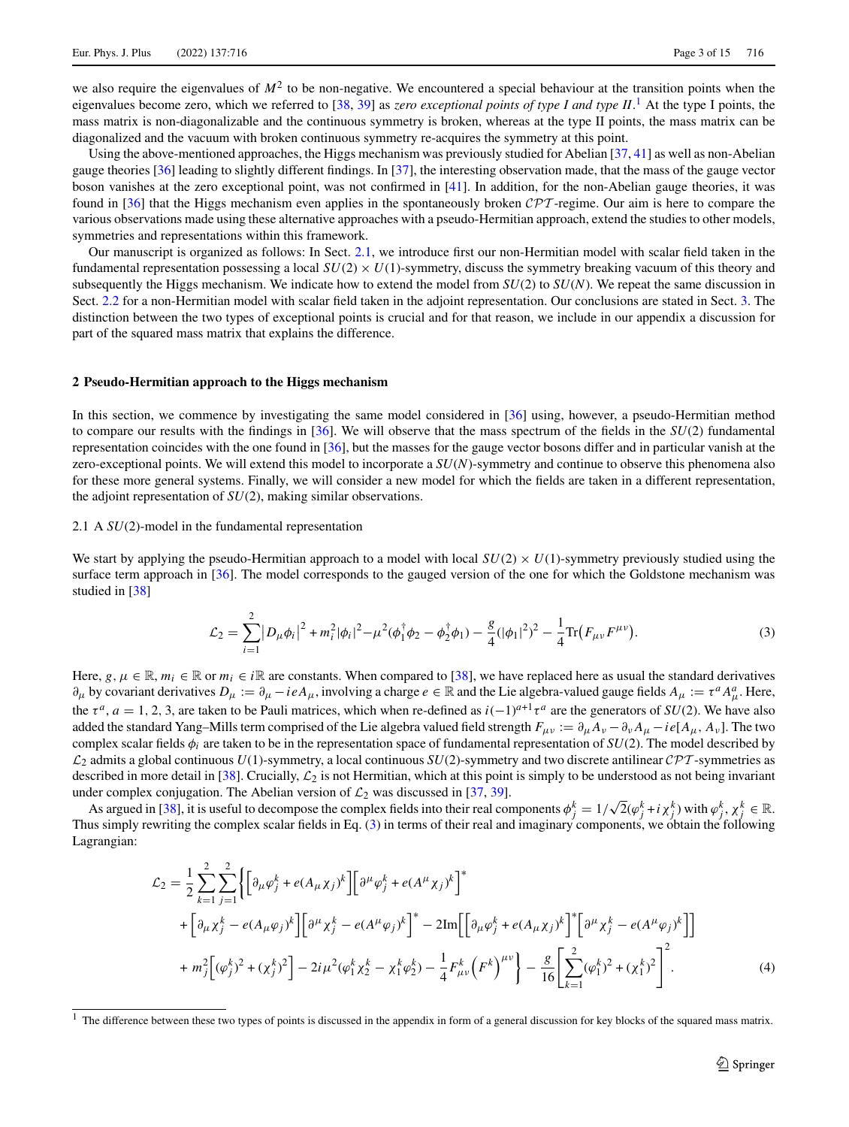we also require the eigenvalues of  $M<sup>2</sup>$  to be non-negative. We encountered a special behaviour at the transition points when the eigenvalues become zero, which we referred to [\[38,](#page-14-18) [39\]](#page-14-19) as *zero exceptional points of type I and type II*.<sup>[1](#page-2-0)</sup> At the type I points, the mass matrix is non-diagonalizable and the continuous symmetry is broken, whereas at the type II points, the mass matrix can be diagonalized and the vacuum with broken continuous symmetry re-acquires the symmetry at this point.

Using the above-mentioned approaches, the Higgs mechanism was previously studied for Abelian [\[37,](#page-14-17) [41\]](#page-14-21) as well as non-Abelian gauge theories [\[36\]](#page-14-16) leading to slightly different findings. In [\[37\]](#page-14-17), the interesting observation made, that the mass of the gauge vector boson vanishes at the zero exceptional point, was not confirmed in [\[41\]](#page-14-21). In addition, for the non-Abelian gauge theories, it was found in [\[36\]](#page-14-16) that the Higgs mechanism even applies in the spontaneously broken *CPT* -regime. Our aim is here to compare the various observations made using these alternative approaches with a pseudo-Hermitian approach, extend the studies to other models, symmetries and representations within this framework.

Our manuscript is organized as follows: In Sect. [2.1,](#page-2-1) we introduce first our non-Hermitian model with scalar field taken in the fundamental representation possessing a local  $SU(2) \times U(1)$ -symmetry, discuss the symmetry breaking vacuum of this theory and subsequently the Higgs mechanism. We indicate how to extend the model from *SU*(2) to *SU*(*N*). We repeat the same discussion in Sect. [2.2](#page-8-0) for a non-Hermitian model with scalar field taken in the adjoint representation. Our conclusions are stated in Sect. [3.](#page-11-0) The distinction between the two types of exceptional points is crucial and for that reason, we include in our appendix a discussion for part of the squared mass matrix that explains the difference.

#### **2 Pseudo-Hermitian approach to the Higgs mechanism**

In this section, we commence by investigating the same model considered in [\[36\]](#page-14-16) using, however, a pseudo-Hermitian method to compare our results with the findings in [\[36\]](#page-14-16). We will observe that the mass spectrum of the fields in the *SU*(2) fundamental representation coincides with the one found in [\[36\]](#page-14-16), but the masses for the gauge vector bosons differ and in particular vanish at the zero-exceptional points. We will extend this model to incorporate a *SU*(*N*)-symmetry and continue to observe this phenomena also for these more general systems. Finally, we will consider a new model for which the fields are taken in a different representation, the adjoint representation of *SU*(2), making similar observations.

# <span id="page-2-1"></span>2.1 A *SU*(2)-model in the fundamental representation

We start by applying the pseudo-Hermitian approach to a model with local  $SU(2) \times U(1)$ -symmetry previously studied using the surface term approach in [\[36\]](#page-14-16). The model corresponds to the gauged version of the one for which the Goldstone mechanism was studied in [\[38\]](#page-14-18)

<span id="page-2-2"></span>
$$
\mathcal{L}_2 = \sum_{i=1}^2 |D_\mu \phi_i|^2 + m_i^2 |\phi_i|^2 - \mu^2 (\phi_1^\dagger \phi_2 - \phi_2^\dagger \phi_1) - \frac{g}{4} (|\phi_1|^2)^2 - \frac{1}{4} \text{Tr} (F_{\mu\nu} F^{\mu\nu}). \tag{3}
$$

Here,  $g, \mu \in \mathbb{R}$ ,  $m_i \in \mathbb{R}$  or  $m_i \in i\mathbb{R}$  are constants. When compared to [\[38\]](#page-14-18), we have replaced here as usual the standard derivatives  $\partial_{\mu}$  by covariant derivatives  $D_{\mu} := \partial_{\mu} - ieA_{\mu}$ , involving a charge  $e \in \mathbb{R}$  and the Lie algebra-valued gauge fields  $A_{\mu} := \tau^a A_{\mu}^a$ . Here, the  $\tau^a$ ,  $a = 1, 2, 3$ , are taken to be Pauli matrices, which when re-defined as  $i(-1)^{a+1}\tau^a$  are the generators of *SU*(2). We have also added the standard Yang–Mills term comprised of the Lie algebra valued field strength  $F_{\mu\nu} := \partial_\mu A_\nu - \partial_\nu A_\mu - ie[A_\mu, A_\nu]$ . The two complex scalar fields  $\phi_i$  are taken to be in the representation space of fundamental representation of  $SU(2)$ . The model described by *L*<sup>2</sup> admits a global continuous *U*(1)-symmetry, a local continuous *SU*(2)-symmetry and two discrete antilinear *CPT* -symmetries as described in more detail in [\[38\]](#page-14-18). Crucially, *L*<sup>2</sup> is not Hermitian, which at this point is simply to be understood as not being invariant under complex conjugation. The Abelian version of  $\mathcal{L}_2$  was discussed in [\[37,](#page-14-17) [39\]](#page-14-19).

As argued in [\[38\]](#page-14-18), it is useful to decompose the complex fields into their real components  $\phi_j^k = 1/\sqrt{2}(\phi_j^k + i\chi_j^k)$  with  $\phi_j^k$ ,  $\chi_j^k \in \mathbb{R}$ . Thus simply rewriting the complex scalar fields in Eq. [\(3\)](#page-2-2) in terms of their real and imaginary components, we obtain the following Lagrangian:

<span id="page-2-3"></span>
$$
\mathcal{L}_{2} = \frac{1}{2} \sum_{k=1}^{2} \sum_{j=1}^{2} \left\{ \left[ \partial_{\mu} \varphi_{j}^{k} + e(A_{\mu} \chi_{j})^{k} \right] \left[ \partial^{\mu} \varphi_{j}^{k} + e(A^{\mu} \chi_{j})^{k} \right]^{*} \right. \\ \left. + \left[ \partial_{\mu} \chi_{j}^{k} - e(A_{\mu} \varphi_{j})^{k} \right] \left[ \partial^{\mu} \chi_{j}^{k} - e(A^{\mu} \varphi_{j})^{k} \right]^{*} - 2 \text{Im} \left[ \left[ \partial_{\mu} \varphi_{j}^{k} + e(A_{\mu} \chi_{j})^{k} \right]^{*} \left[ \partial^{\mu} \chi_{j}^{k} - e(A^{\mu} \varphi_{j})^{k} \right] \right] \right. \\ \left. + m_{j}^{2} \left[ (\varphi_{j}^{k})^{2} + (\chi_{j}^{k})^{2} \right] - 2i \mu^{2} (\varphi_{1}^{k} \chi_{2}^{k} - \chi_{1}^{k} \varphi_{2}^{k}) - \frac{1}{4} F_{\mu\nu}^{k} \left( F^{k} \right)^{\mu\nu} \right\} - \frac{g}{16} \left[ \sum_{k=1}^{2} (\varphi_{1}^{k})^{2} + (\chi_{1}^{k})^{2} \right]^{2} . \tag{4}
$$

<span id="page-2-0"></span>The difference between these two types of points is discussed in the appendix in form of a general discussion for key blocks of the squared mass matrix.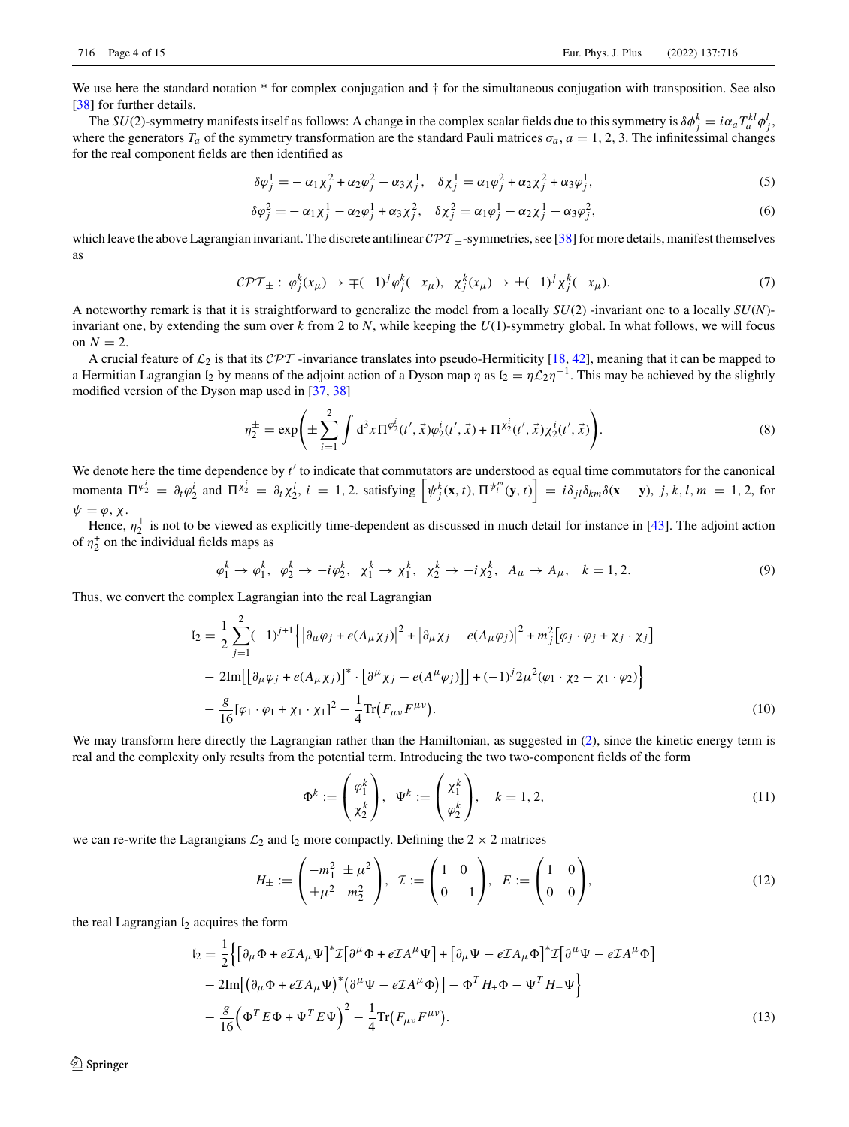We use here the standard notation \* for complex conjugation and  $\dagger$  for the simultaneous conjugation with transposition. See also [\[38\]](#page-14-18) for further details.

The *SU*(2)-symmetry manifests itself as follows: A change in the complex scalar fields due to this symmetry is  $\delta \phi_j^k = i \alpha_a T_a^{kl} \phi_j^l$ where the generators  $T_a$  of the symmetry transformation are the standard Pauli matrices  $\sigma_a$ ,  $a = 1, 2, 3$ . The infinitessimal changes for the real component fields are then identified as

$$
\delta \varphi_j^1 = -\alpha_1 \chi_j^2 + \alpha_2 \varphi_j^2 - \alpha_3 \chi_j^1, \quad \delta \chi_j^1 = \alpha_1 \varphi_j^2 + \alpha_2 \chi_j^2 + \alpha_3 \varphi_j^1,\tag{5}
$$

$$
\delta \varphi_j^2 = -\alpha_1 \chi_j^1 - \alpha_2 \varphi_j^1 + \alpha_3 \chi_j^2, \quad \delta \chi_j^2 = \alpha_1 \varphi_j^1 - \alpha_2 \chi_j^1 - \alpha_3 \varphi_j^2, \tag{6}
$$

which leave the above Lagrangian invariant. The discrete antilinear  $\mathcal{CPT}_{+}$ -symmetries, see [\[38\]](#page-14-18) for more details, manifest themselves as

$$
\mathcal{CPT}_{\pm}: \varphi_j^k(x_\mu) \to \mp (-1)^j \varphi_j^k(-x_\mu), \ \ \chi_j^k(x_\mu) \to \pm (-1)^j \chi_j^k(-x_\mu). \tag{7}
$$

A noteworthy remark is that it is straightforward to generalize the model from a locally *SU*(2) -invariant one to a locally *SU*(*N*) invariant one, by extending the sum over *k* from 2 to *N*, while keeping the *U*(1)-symmetry global. In what follows, we will focus on  $N=2$ .

A crucial feature of  $\mathcal{L}_2$  is that its  $\mathcal{CPT}$  -invariance translates into pseudo-Hermiticity [\[18,](#page-14-22) [42\]](#page-14-23), meaning that it can be mapped to a Hermitian Lagrangian  $l_2$  by means of the adjoint action of a Dyson map  $\eta$  as  $l_2 = \eta \mathcal{L}_2 \eta^{-1}$ . This may be achieved by the slightly modified version of the Dyson map used in [\[37,](#page-14-17) [38\]](#page-14-18)

$$
\eta_2^{\pm} = \exp\left(\pm \sum_{i=1}^2 \int d^3x \Pi^{\varphi_2^i}(t',\vec{x}) \varphi_2^i(t',\vec{x}) + \Pi^{\chi_2^i}(t',\vec{x}) \chi_2^i(t',\vec{x})\right).
$$
(8)

We denote here the time dependence by t' to indicate that commutators are understood as equal time commutators for the canonical momenta  $\Pi^{\varphi_2^i} = \partial_t \varphi_2^i$  and  $\Pi^{\chi_2^i} = \partial_t \chi_2^i$ ,  $i = 1, 2$ . satisfying  $\left[ \psi_j^k(\mathbf{x}, t), \Pi^{\psi_i^m}(\mathbf{y}, t) \right] = i \delta_{ji} \delta_{km} \delta(\mathbf{x} - \mathbf{y}), j, k, l, m = 1, 2$ , for  $\psi = \varphi, \chi.$ 

Hence,  $\eta_2^{\pm}$  is not to be viewed as explicitly time-dependent as discussed in much detail for instance in [\[43\]](#page-14-24). The adjoint action of  $\eta_2^+$  on the individual fields maps as

$$
\varphi_1^k \to \varphi_1^k, \ \varphi_2^k \to -i\varphi_2^k, \ \chi_1^k \to \chi_1^k, \ \chi_2^k \to -i\chi_2^k, \ A_\mu \to A_\mu, \ \ k = 1, 2. \tag{9}
$$

Thus, we convert the complex Lagrangian into the real Lagrangian

$$
I_2 = \frac{1}{2} \sum_{j=1}^{2} (-1)^{j+1} \left\{ \left| \partial_{\mu} \varphi_j + e(A_{\mu} \chi_j) \right|^2 + \left| \partial_{\mu} \chi_j - e(A_{\mu} \varphi_j) \right|^2 + m_j^2 \left[ \varphi_j \cdot \varphi_j + \chi_j \cdot \chi_j \right] \right\}
$$
  
- 2Im $\left[ \left[ \partial_{\mu} \varphi_j + e(A_{\mu} \chi_j) \right]^* \cdot \left[ \partial^{\mu} \chi_j - e(A^{\mu} \varphi_j) \right] \right] + (-1)^j 2\mu^2 (\varphi_1 \cdot \chi_2 - \chi_1 \cdot \varphi_2) \right\}$   
-  $\frac{g}{16} [\varphi_1 \cdot \varphi_1 + \chi_1 \cdot \chi_1]^2 - \frac{1}{4} Tr (F_{\mu\nu} F^{\mu\nu}).$  (10)

We may transform here directly the Lagrangian rather than the Hamiltonian, as suggested in [\(2\)](#page-1-0), since the kinetic energy term is real and the complexity only results from the potential term. Introducing the two two-component fields of the form

<span id="page-3-0"></span>
$$
\Phi^k := \begin{pmatrix} \varphi_1^k \\ \chi_2^k \end{pmatrix}, \quad \Psi^k := \begin{pmatrix} \chi_1^k \\ \varphi_2^k \end{pmatrix}, \quad k = 1, 2,
$$
\n(11)

we can re-write the Lagrangians  $\mathcal{L}_2$  and  $\mathfrak{l}_2$  more compactly. Defining the  $2 \times 2$  matrices

$$
H_{\pm} := \begin{pmatrix} -m_1^2 \pm \mu^2 \\ \pm \mu^2 & m_2^2 \end{pmatrix}, \quad \mathcal{I} := \begin{pmatrix} 1 & 0 \\ 0 & -1 \end{pmatrix}, \quad E := \begin{pmatrix} 1 & 0 \\ 0 & 0 \end{pmatrix}, \tag{12}
$$

the real Lagrangian  $I_2$  acquires the form

$$
I_2 = \frac{1}{2} \Big\{ \Big[ \partial_\mu \Phi + e \mathcal{I} A_\mu \Psi \Big]^* \mathcal{I} \Big[ \partial^\mu \Phi + e \mathcal{I} A^\mu \Psi \Big] + \Big[ \partial_\mu \Psi - e \mathcal{I} A_\mu \Phi \Big]^* \mathcal{I} \Big[ \partial^\mu \Psi - e \mathcal{I} A^\mu \Phi \Big] - 2 \text{Im} \Big[ \Big( \partial_\mu \Phi + e \mathcal{I} A_\mu \Psi \Big)^* \Big( \partial^\mu \Psi - e \mathcal{I} A^\mu \Phi \Big) \Big] - \Phi^T H_+ \Phi - \Psi^T H_- \Psi \Big\} - \frac{g}{16} \Big( \Phi^T E \Phi + \Psi^T E \Psi \Big)^2 - \frac{1}{4} \text{Tr} \Big( F_{\mu\nu} F^{\mu\nu} \Big). \tag{13}
$$

 $\textcircled{2}$  Springer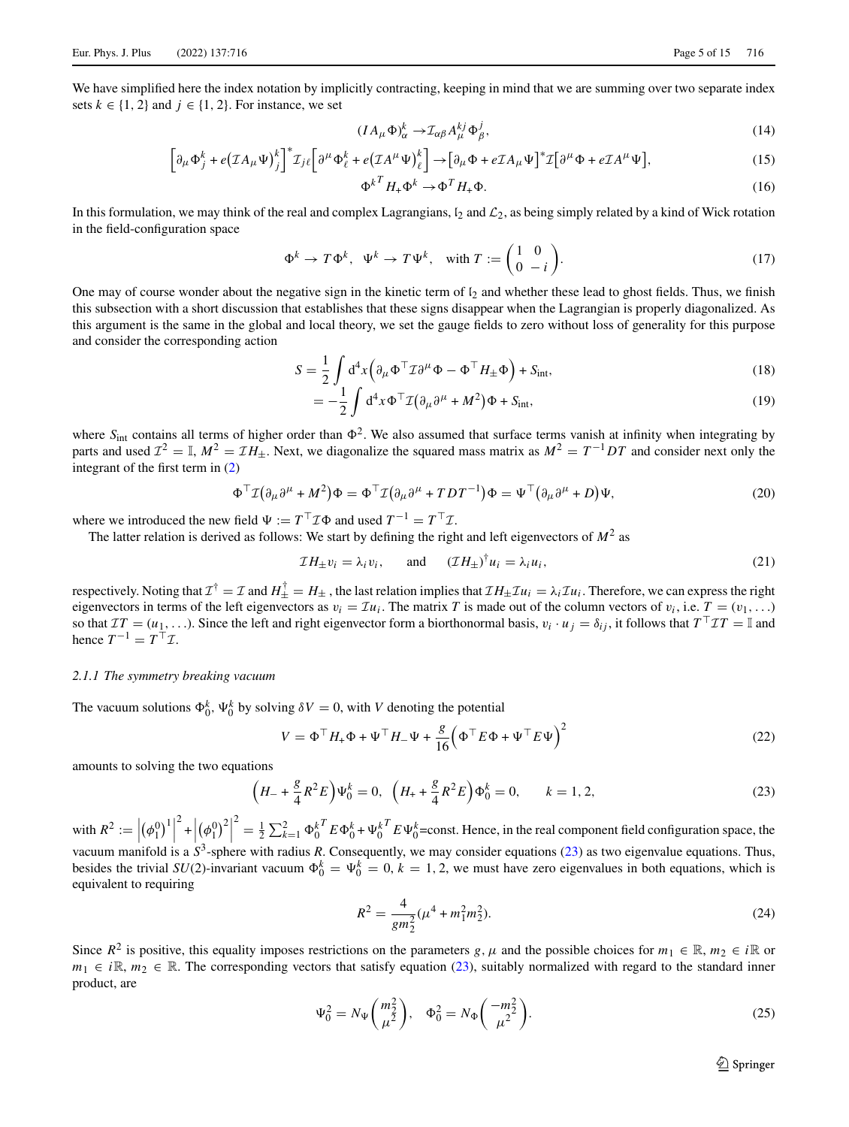We have simplified here the index notation by implicitly contracting, keeping in mind that we are summing over two separate index sets  $k \in \{1, 2\}$  and  $j \in \{1, 2\}$ . For instance, we set

$$
(IA_{\mu}\Phi)^{k}_{\alpha} \to \mathcal{I}_{\alpha\beta}A^{kj}_{\mu}\Phi^{j}_{\beta},\tag{14}
$$

$$
\left[\partial_{\mu}\Phi_{j}^{k} + e(\mathcal{I}A_{\mu}\Psi)_{j}^{k}\right]^{*}\mathcal{I}_{j\ell}\left[\partial^{\mu}\Phi_{\ell}^{k} + e(\mathcal{I}A^{\mu}\Psi)_{\ell}^{k}\right] \rightarrow \left[\partial_{\mu}\Phi + e\mathcal{I}A_{\mu}\Psi\right]^{*}\mathcal{I}\left[\partial^{\mu}\Phi + e\mathcal{I}A^{\mu}\Psi\right],\tag{15}
$$

$$
{\Phi^k}^T H_+ {\Phi^k} \to {\Phi^T} H_+ {\Phi}. \tag{16}
$$

In this formulation, we may think of the real and complex Lagrangians,  $I_2$  and  $\mathcal{L}_2$ , as being simply related by a kind of Wick rotation in the field-configuration space

$$
\Phi^k \to T\Phi^k, \quad \Psi^k \to T\Psi^k, \quad \text{with } T := \begin{pmatrix} 1 & 0 \\ 0 & -i \end{pmatrix}.
$$
 (17)

One may of course wonder about the negative sign in the kinetic term of  $\mathfrak{l}_2$  and whether these lead to ghost fields. Thus, we finish this subsection with a short discussion that establishes that these signs disappear when the Lagrangian is properly diagonalized. As this argument is the same in the global and local theory, we set the gauge fields to zero without loss of generality for this purpose and consider the corresponding action

$$
S = \frac{1}{2} \int d^4x \left( \partial_\mu \Phi^\top \mathcal{I} \partial^\mu \Phi - \Phi^\top H_\pm \Phi \right) + S_{\text{int}}, \tag{18}
$$

$$
= -\frac{1}{2} \int d^4x \Phi^\top \mathcal{I} \big( \partial_\mu \partial^\mu + M^2 \big) \Phi + S_{\text{int}}, \tag{19}
$$

where  $S_{int}$  contains all terms of higher order than  $\Phi^2$ . We also assumed that surface terms vanish at infinity when integrating by parts and used  $\mathcal{I}^2 = \mathbb{I}$ ,  $M^2 = \mathcal{I}H_{\pm}$ . Next, we diagonalize the squared mass matrix as  $M^2 = T^{-1}DT$  and consider next only the integrant of the first term in [\(2\)](#page-1-0)

$$
\Phi^{\top} \mathcal{I} \big( \partial_{\mu} \partial^{\mu} + M^2 \big) \Phi = \Phi^{\top} \mathcal{I} \big( \partial_{\mu} \partial^{\mu} + T D T^{-1} \big) \Phi = \Psi^{\top} \big( \partial_{\mu} \partial^{\mu} + D \big) \Psi,
$$
\n(20)

where we introduced the new field  $\Psi := T^\top \mathcal{I} \Phi$  and used  $T^{-1} = T^\top \mathcal{I}$ .

The latter relation is derived as follows: We start by defining the right and left eigenvectors of  $M<sup>2</sup>$  as

<span id="page-4-4"></span>
$$
\mathcal{I}H_{\pm}v_i = \lambda_i v_i, \quad \text{and} \quad (\mathcal{I}H_{\pm})^{\dagger}u_i = \lambda_i u_i,
$$
\n(21)

respectively. Noting that  $\mathcal{I}^{\dagger} = \mathcal{I}$  and  $H^{\dagger}_{\pm} = H_{\pm}$ , the last relation implies that  $\mathcal{I}H_{\pm}\mathcal{I}u_i = \lambda_i \mathcal{I}u_i$ . Therefore, we can express the right eigenvectors in terms of the left eigenvectors as  $v_i = \mathcal{I}u_i$ . The matrix *T* is made out of the column vectors of  $v_i$ , i.e.  $T = (v_1, \ldots)$ so that  $IT = (u_1, \ldots)$ . Since the left and right eigenvector form a biorthonormal basis,  $v_i \cdot u_j = \delta_{ij}$ , it follows that  $T^{\top}IT = \mathbb{I}$  and hence  $T^{-1} = T^{\top} \mathcal{I}$ .

# <span id="page-4-3"></span>*2.1.1 The symmetry breaking vacuum*

The vacuum solutions  $\Phi_0^k$ ,  $\Psi_0^k$  by solving  $\delta V = 0$ , with *V* denoting the potential

$$
V = \Phi^{\top} H_{+} \Phi + \Psi^{\top} H_{-} \Psi + \frac{g}{16} \left( \Phi^{\top} E \Phi + \Psi^{\top} E \Psi \right)^{2}
$$
 (22)

amounts to solving the two equations

$$
\left(H_{-} + \frac{g}{4}R^{2}E\right)\Psi_{0}^{k} = 0, \quad \left(H_{+} + \frac{g}{4}R^{2}E\right)\Phi_{0}^{k} = 0, \qquad k = 1, 2, \tag{23}
$$

with  $R^2 :=$  $(\phi_1^0)^1$  $\left| \begin{array}{c} 2 \\ + \end{array} \right|$  $(\phi_1^0)^2$ 2  $= \frac{1}{2} \sum_{k=1}^{2} \Phi_0^k{}^T E \Phi_0^k + \Psi_0^k{}^T E \Psi_0^k$ =const. Hence, in the real component field configuration space, the vacuum manifold is a  $S^3$ -sphere with radius *R*. Consequently, we may consider equations [\(23\)](#page-4-0) as two eigenvalue equations. Thus, besides the trivial *SU*(2)-invariant vacuum  $\Phi_0^k = \Psi_0^k = 0$ ,  $k = 1, 2$ , we must have zero eigenvalues in both equations, which is equivalent to requiring

<span id="page-4-2"></span><span id="page-4-1"></span><span id="page-4-0"></span>
$$
R^2 = \frac{4}{gm_2^2}(\mu^4 + m_1^2 m_2^2). \tag{24}
$$

Since  $R^2$  is positive, this equality imposes restrictions on the parameters *g*,  $\mu$  and the possible choices for  $m_1 \in \mathbb{R}$ ,  $m_2 \in i\mathbb{R}$  or  $m_1 \in i\mathbb{R}, m_2 \in \mathbb{R}$ . The corresponding vectors that satisfy equation [\(23\)](#page-4-0), suitably normalized with regard to the standard inner product, are

$$
\Psi_0^2 = N_{\Psi} \binom{m_2^2}{\mu^2}, \quad \Phi_0^2 = N_{\Phi} \binom{-m_2^2}{\mu^2}.
$$
\n(25)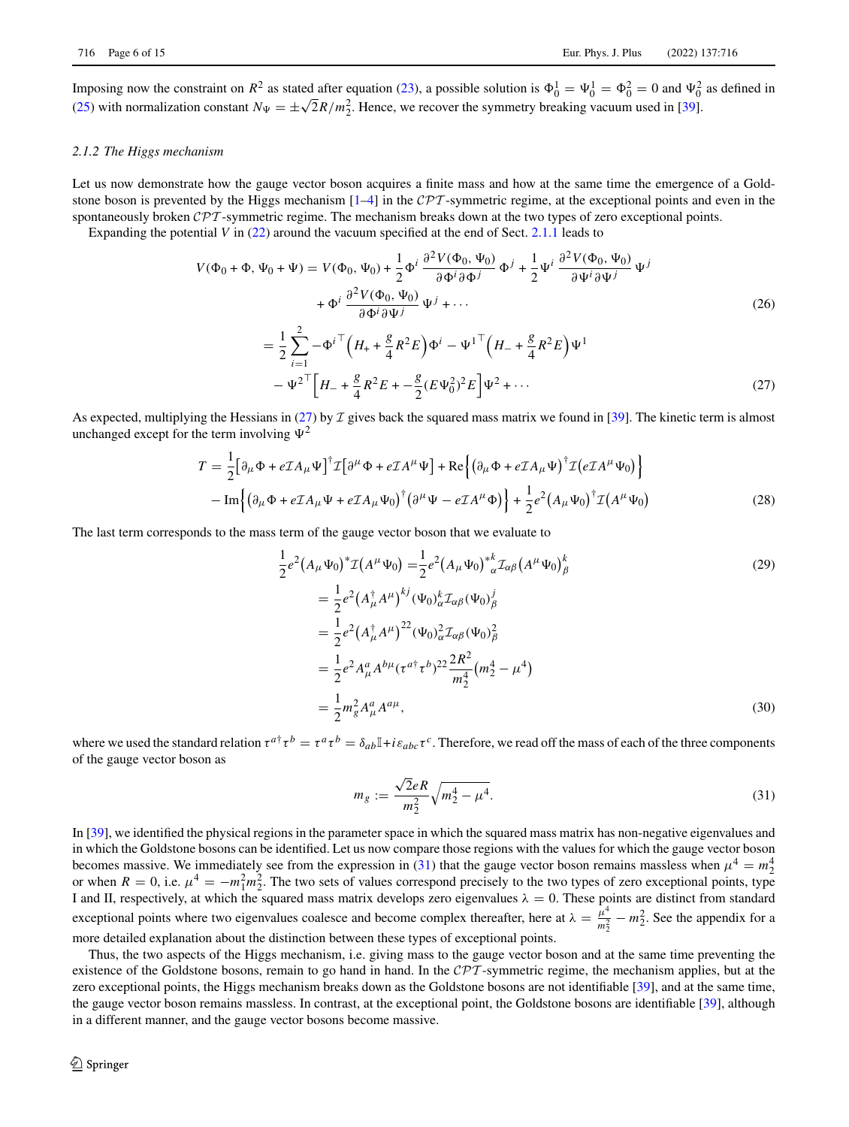Imposing now the constraint on  $R^2$  as stated after equation [\(23\)](#page-4-0), a possible solution is  $\Phi_0^1 = \Psi_0^1 = \Phi_0^2 = 0$  and  $\Psi_0^2$  as defined in [\(25\)](#page-4-1) with normalization constant  $N_{\Psi} = \pm \sqrt{2}R/m_2^2$ . Hence, we recover the symmetry breaking vacuum used in [\[39\]](#page-14-19).

#### *2.1.2 The Higgs mechanism*

Let us now demonstrate how the gauge vector boson acquires a finite mass and how at the same time the emergence of a Goldstone boson is prevented by the Higgs mechanism [\[1–](#page-13-0)[4\]](#page-13-1) in the *CPT* -symmetric regime, at the exceptional points and even in the spontaneously broken *CPT* -symmetric regime. The mechanism breaks down at the two types of zero exceptional points.

Expanding the potential *V* in [\(22\)](#page-4-2) around the vacuum specified at the end of Sect. [2.1.1](#page-4-3) leads to

$$
V(\Phi_0 + \Phi, \Psi_0 + \Psi) = V(\Phi_0, \Psi_0) + \frac{1}{2} \Phi^i \frac{\partial^2 V(\Phi_0, \Psi_0)}{\partial \Phi^i \partial \Phi^j} \Phi^j + \frac{1}{2} \Psi^i \frac{\partial^2 V(\Phi_0, \Psi_0)}{\partial \Psi^i \partial \Psi^j} \Psi^j + \Phi^i \frac{\partial^2 V(\Phi_0, \Psi_0)}{\partial \Phi^i \partial \Psi^j} \Psi^j + \cdots
$$
(26)  
= 
$$
\frac{1}{2} \sum_{i=1}^2 -\Phi^{i \top} \left( H_+ + \frac{g}{4} R^2 E \right) \Phi^i - \Psi^{1 \top} \left( H_- + \frac{g}{4} R^2 E \right) \Psi^1 - \Psi^{2 \top} \left[ H_- + \frac{g}{4} R^2 E + -\frac{g}{2} (E \Psi_0^2)^2 E \right] \Psi^2 + \cdots
$$
(27)

As expected, multiplying the Hessians in [\(27\)](#page-5-0) by *I* gives back the squared mass matrix we found in [\[39\]](#page-14-19). The kinetic term is almost unchanged except for the term involving  $\Psi^2$ 

$$
T = \frac{1}{2} \Big[ \partial_{\mu} \Phi + e \mathcal{I} A_{\mu} \Psi \Big]^{\dagger} \mathcal{I} \Big[ \partial^{\mu} \Phi + e \mathcal{I} A^{\mu} \Psi \Big] + \text{Re} \Big\{ \big( \partial_{\mu} \Phi + e \mathcal{I} A_{\mu} \Psi \big)^{\dagger} \mathcal{I} \big( e \mathcal{I} A^{\mu} \Psi_0 \big) \Big\} - \text{Im} \Big\{ \big( \partial_{\mu} \Phi + e \mathcal{I} A_{\mu} \Psi + e \mathcal{I} A_{\mu} \Psi_0 \big)^{\dagger} \big( \partial^{\mu} \Psi - e \mathcal{I} A^{\mu} \Phi \big) \Big\} + \frac{1}{2} e^2 \big( A_{\mu} \Psi_0 \big)^{\dagger} \mathcal{I} \big( A^{\mu} \Psi_0 \big)
$$
(28)

The last term corresponds to the mass term of the gauge vector boson that we evaluate to

<span id="page-5-2"></span><span id="page-5-0"></span>
$$
\frac{1}{2}e^{2}(A_{\mu}\Psi_{0})^{*}\mathcal{I}(A^{\mu}\Psi_{0}) = \frac{1}{2}e^{2}(A_{\mu}\Psi_{0})^{*}{}_{\alpha}^{*}\mathcal{I}_{\alpha\beta}(A^{\mu}\Psi_{0})_{\beta}^{k}
$$
\n
$$
= \frac{1}{2}e^{2}(A_{\mu}^{\dagger}A^{\mu})^{kj}(\Psi_{0})^{k}_{\alpha}\mathcal{I}_{\alpha\beta}(\Psi_{0})_{\beta}^{j}
$$
\n
$$
= \frac{1}{2}e^{2}(A_{\mu}^{\dagger}A^{\mu})^{22}(\Psi_{0})_{\alpha}^{2}\mathcal{I}_{\alpha\beta}(\Psi_{0})_{\beta}^{2}
$$
\n
$$
= \frac{1}{2}e^{2}A_{\mu}^{a}A^{b\mu}(\tau^{a\dagger}\tau^{b})^{22}\frac{2R^{2}}{m_{2}^{4}}(m_{2}^{4} - \mu^{4})
$$
\n
$$
= \frac{1}{2}m_{g}^{2}A_{\mu}^{a}A^{a\mu},
$$
\n(30)

where we used the standard relation  $\tau^{a\dagger} \tau^b = \tau^a \tau^b = \delta_{ab} \mathbb{I} + i \epsilon_{abc} \tau^c$ . Therefore, we read off the mass of each of the three components of the gauge vector boson as

<span id="page-5-1"></span>
$$
m_g := \frac{\sqrt{2}eR}{m_2^2} \sqrt{m_2^4 - \mu^4}.
$$
\n(31)

In [\[39\]](#page-14-19), we identified the physical regions in the parameter space in which the squared mass matrix has non-negative eigenvalues and in which the Goldstone bosons can be identified. Let us now compare those regions with the values for which the gauge vector boson becomes massive. We immediately see from the expression in [\(31\)](#page-5-1) that the gauge vector boson remains massless when  $\mu^4 = m_2^4$ or when  $R = 0$ , i.e.  $\mu^4 = -m_1^2 m_2^2$ . The two sets of values correspond precisely to the two types of zero exceptional points, type I and II, respectively, at which the squared mass matrix develops zero eigenvalues  $\lambda = 0$ . These points are distinct from standard exceptional points where two eigenvalues coalesce and become complex thereafter, here at  $\lambda = \frac{\mu^4}{m_2^2} - m_2^2$ . See the appendix for a more detailed explanation about the distinction between these types of exceptional points.

Thus, the two aspects of the Higgs mechanism, i.e. giving mass to the gauge vector boson and at the same time preventing the existence of the Goldstone bosons, remain to go hand in hand. In the *CPT* -symmetric regime, the mechanism applies, but at the zero exceptional points, the Higgs mechanism breaks down as the Goldstone bosons are not identifiable [\[39\]](#page-14-19), and at the same time, the gauge vector boson remains massless. In contrast, at the exceptional point, the Goldstone bosons are identifiable [\[39\]](#page-14-19), although in a different manner, and the gauge vector bosons become massive.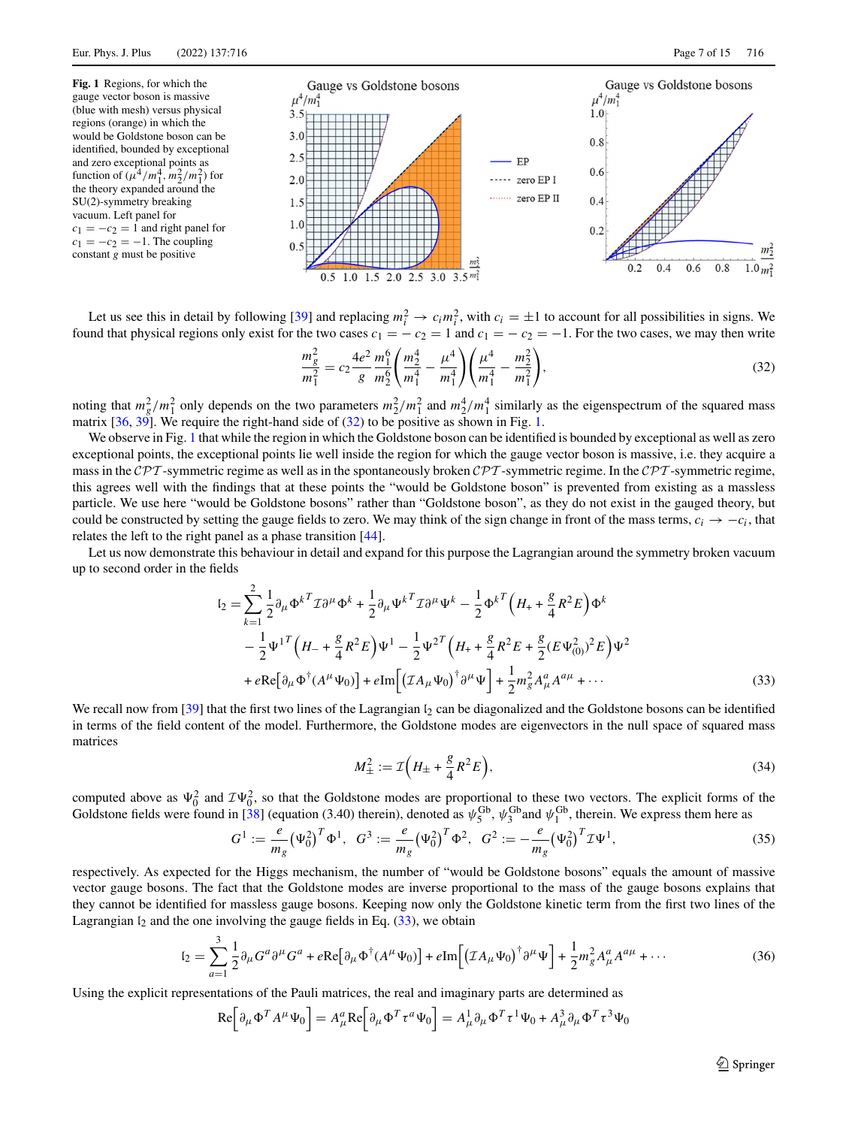<span id="page-6-1"></span>

Let us see this in detail by following [\[39\]](#page-14-19) and replacing  $m_i^2 \to c_i m_i^2$ , with  $c_i = \pm 1$  to account for all possibilities in signs. We found that physical regions only exist for the two cases  $c_1 = -c_2 = 1$  and  $c_1 = -c_2 = -1$ . For the two cases, we may then write

<span id="page-6-0"></span>
$$
\frac{m_g^2}{m_1^2} = c_2 \frac{4e^2}{g} \frac{m_1^6}{m_2^6} \left( \frac{m_2^4}{m_1^4} - \frac{\mu^4}{m_1^4} \right) \left( \frac{\mu^4}{m_1^4} - \frac{m_2^2}{m_1^2} \right),\tag{32}
$$

noting that  $m_g^2/m_1^2$  only depends on the two parameters  $m_2^2/m_1^2$  and  $m_2^4/m_1^4$  similarly as the eigenspectrum of the squared mass matrix  $[36, 39]$  $[36, 39]$  $[36, 39]$ . We require the right-hand side of  $(32)$  to be positive as shown in Fig. [1.](#page-6-1)

We observe in Fig. [1](#page-6-1) that while the region in which the Goldstone boson can be identified is bounded by exceptional as well as zero exceptional points, the exceptional points lie well inside the region for which the gauge vector boson is massive, i.e. they acquire a mass in the *CPT* -symmetric regime as well as in the spontaneously broken *CPT* -symmetric regime. In the *CPT* -symmetric regime, this agrees well with the findings that at these points the "would be Goldstone boson" is prevented from existing as a massless particle. We use here "would be Goldstone bosons" rather than "Goldstone boson", as they do not exist in the gauged theory, but could be constructed by setting the gauge fields to zero. We may think of the sign change in front of the mass terms,  $c_i \rightarrow -c_i$ , that relates the left to the right panel as a phase transition [\[44\]](#page-14-25).

Let us now demonstrate this behaviour in detail and expand for this purpose the Lagrangian around the symmetry broken vacuum up to second order in the fields

$$
I_2 = \sum_{k=1}^2 \frac{1}{2} \partial_\mu \Phi^{k}{}^T \mathcal{I} \partial^\mu \Phi^k + \frac{1}{2} \partial_\mu \Psi^{k}{}^T \mathcal{I} \partial^\mu \Psi^k - \frac{1}{2} \Phi^{k}{}^T \left( H_+ + \frac{g}{4} R^2 E \right) \Phi^k
$$
  

$$
- \frac{1}{2} \Psi^{1}{}^T \left( H_- + \frac{g}{4} R^2 E \right) \Psi^1 - \frac{1}{2} \Psi^{2}{}^T \left( H_+ + \frac{g}{4} R^2 E + \frac{g}{2} (E \Psi_{(0)}^2)^2 E \right) \Psi^2
$$
  

$$
+ e \text{Re} \left[ \partial_\mu \Phi^\dagger (A^\mu \Psi_0) \right] + e \text{Im} \left[ \left( \mathcal{I} A_\mu \Psi_0 \right)^\dagger \partial^\mu \Psi \right] + \frac{1}{2} m_g^2 A_\mu^a A^{a\mu} + \cdots
$$
 (33)

We recall now from [\[39\]](#page-14-19) that the first two lines of the Lagrangian  $\mathfrak{h}_2$  can be diagonalized and the Goldstone bosons can be identified in terms of the field content of the model. Furthermore, the Goldstone modes are eigenvectors in the null space of squared mass matrices

<span id="page-6-3"></span><span id="page-6-2"></span>
$$
M_{\pm}^{2} := \mathcal{I}\Big(H_{\pm} + \frac{g}{4}R^{2}E\Big),\tag{34}
$$

computed above as  $\Psi_0^2$  and  $\mathcal{I}\Psi_0^2$ , so that the Goldstone modes are proportional to these two vectors. The explicit forms of the Goldstone fields were found in [\[38\]](#page-14-18) (equation (3.40) therein), denoted as  $\psi_5^{\text{Gb}}, \psi_3^{\text{Gb}}$  and  $\psi_1^{\text{Gb}}$ , therein. We express them here as

$$
G^{1} := \frac{e}{m_{g}} (\Psi_{0}^{2})^{T} \Phi^{1}, \quad G^{3} := \frac{e}{m_{g}} (\Psi_{0}^{2})^{T} \Phi^{2}, \quad G^{2} := -\frac{e}{m_{g}} (\Psi_{0}^{2})^{T} \mathcal{I} \Psi^{1}, \tag{35}
$$

respectively. As expected for the Higgs mechanism, the number of "would be Goldstone bosons" equals the amount of massive vector gauge bosons. The fact that the Goldstone modes are inverse proportional to the mass of the gauge bosons explains that they cannot be identified for massless gauge bosons. Keeping now only the Goldstone kinetic term from the first two lines of the Lagrangian  $I_2$  and the one involving the gauge fields in Eq. [\(33\)](#page-6-2), we obtain

$$
I_2 = \sum_{a=1}^3 \frac{1}{2} \partial_\mu G^a \partial^\mu G^a + e \text{Re} \big[ \partial_\mu \Phi^\dagger (A^\mu \Psi_0) \big] + e \text{Im} \big[ \big( \mathcal{I} A_\mu \Psi_0 \big)^\dagger \partial^\mu \Psi \big] + \frac{1}{2} m_g^2 A_\mu^a A^{a\mu} + \cdots
$$
 (36)

Using the explicit representations of the Pauli matrices, the real and imaginary parts are determined as

$$
\mathrm{Re}\Big[\partial_{\mu}\Phi^T A^{\mu}\Psi_0\Big]=A^a_{\mu}\mathrm{Re}\Big[\partial_{\mu}\Phi^T \tau^a\Psi_0\Big]=A^1_{\mu}\partial_{\mu}\Phi^T \tau^1\Psi_0+A^3_{\mu}\partial_{\mu}\Phi^T \tau^3\Psi_0
$$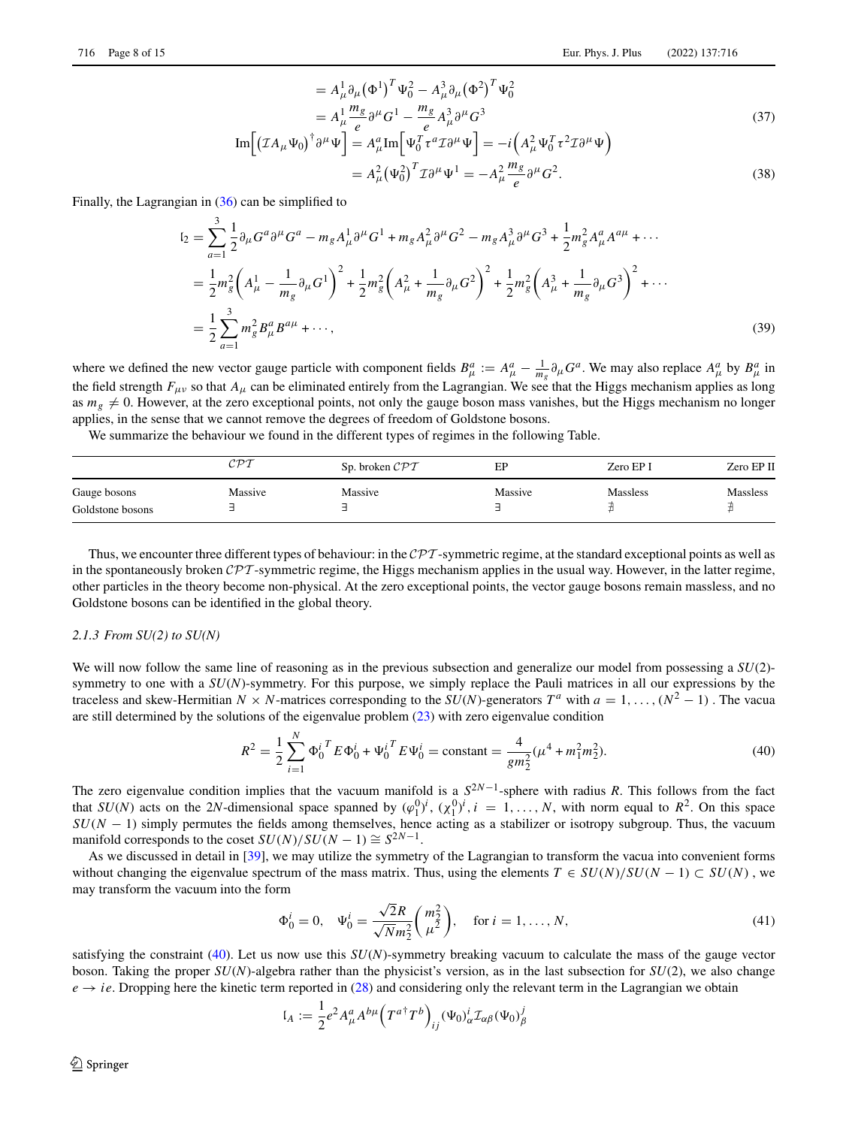$$
= A_{\mu}^{1} \partial_{\mu} (\Phi^{1})^{T} \Psi_{0}^{2} - A_{\mu}^{3} \partial_{\mu} (\Phi^{2})^{T} \Psi_{0}^{2}
$$
  
\n
$$
= A_{\mu}^{1} \frac{m_{g}}{e} \partial^{\mu} G^{1} - \frac{m_{g}}{e} A_{\mu}^{3} \partial^{\mu} G^{3}
$$
  
\n
$$
\text{Im}[(\mathcal{I}A_{\mu} \Psi_{0})^{\dagger} \partial^{\mu} \Psi] = A_{\mu}^{a} \text{Im}[\Psi_{0}^{T} \tau^{a} \mathcal{I} \partial^{\mu} \Psi] = -i(A_{\mu}^{2} \Psi_{0}^{T} \tau^{2} \mathcal{I} \partial^{\mu} \Psi)
$$
  
\n
$$
= A_{\mu}^{2} (\Psi_{0}^{2})^{T} \mathcal{I} \partial^{\mu} \Psi^{1} = -A_{\mu}^{2} \frac{m_{g}}{e} \partial^{\mu} G^{2}.
$$
\n(38)

Finally, the Lagrangian in [\(36\)](#page-6-3) can be simplified to

$$
I_2 = \sum_{a=1}^3 \frac{1}{2} \partial_\mu G^a \partial^\mu G^a - m_g A_\mu^1 \partial^\mu G^1 + m_g A_\mu^2 \partial^\mu G^2 - m_g A_\mu^3 \partial^\mu G^3 + \frac{1}{2} m_g^2 A_\mu^a A^{a\mu} + \cdots
$$
  
\n
$$
= \frac{1}{2} m_g^2 \left( A_\mu^1 - \frac{1}{m_g} \partial_\mu G^1 \right)^2 + \frac{1}{2} m_g^2 \left( A_\mu^2 + \frac{1}{m_g} \partial_\mu G^2 \right)^2 + \frac{1}{2} m_g^2 \left( A_\mu^3 + \frac{1}{m_g} \partial_\mu G^3 \right)^2 + \cdots
$$
  
\n
$$
= \frac{1}{2} \sum_{a=1}^3 m_g^2 B_\mu^a B^{a\mu} + \cdots,
$$
\n(39)

where we defined the new vector gauge particle with component fields  $B^a_\mu := A^a_\mu - \frac{1}{m_g} \partial_\mu G^a$ . We may also replace  $A^a_\mu$  by  $B^a_\mu$  in the field strength  $F_{\mu\nu}$  so that  $A_{\mu}$  can be eliminated entirely from the Lagrangian. We see that the Higgs mechanism applies as long as  $m_g \neq 0$ . However, at the zero exceptional points, not only the gauge boson mass vanishes, but the Higgs mechanism no longer applies, in the sense that we cannot remove the degrees of freedom of Goldstone bosons.

We summarize the behaviour we found in the different types of regimes in the following Table.

|                                  | $\mathcal{CPT}$ | Sp. broken $\mathcal{CPT}$ | EP      | Zero EP I       | Zero EP II      |
|----------------------------------|-----------------|----------------------------|---------|-----------------|-----------------|
| Gauge bosons<br>Goldstone bosons | Massive         | Massive                    | Massive | <b>Massless</b> | <b>Massless</b> |

Thus, we encounter three different types of behaviour: in the *CPT* -symmetric regime, at the standard exceptional points as well as in the spontaneously broken *CPT* -symmetric regime, the Higgs mechanism applies in the usual way. However, in the latter regime, other particles in the theory become non-physical. At the zero exceptional points, the vector gauge bosons remain massless, and no Goldstone bosons can be identified in the global theory.

## *2.1.3 From SU(2) to SU(N)*

We will now follow the same line of reasoning as in the previous subsection and generalize our model from possessing a  $SU(2)$ symmetry to one with a  $SU(N)$ -symmetry. For this purpose, we simply replace the Pauli matrices in all our expressions by the traceless and skew-Hermitian *N* × *N*-matrices corresponding to the *SU*(*N*)-generators  $T^a$  with  $a = 1, ..., (N^2 - 1)$ . The vacua are still determined by the solutions of the eigenvalue problem [\(23\)](#page-4-0) with zero eigenvalue condition

$$
R^{2} = \frac{1}{2} \sum_{i=1}^{N} {\Phi_{0}^{i}}^{T} E {\Phi_{0}^{i}} + {\Psi_{0}^{i}}^{T} E {\Psi_{0}^{i}} = \text{constant} = \frac{4}{gm_{2}^{2}} (\mu^{4} + m_{1}^{2} m_{2}^{2}).
$$
 (40)

The zero eigenvalue condition implies that the vacuum manifold is a  $S^{2N-1}$ -sphere with radius *R*. This follows from the fact that  $SU(N)$  acts on the 2*N*-dimensional space spanned by  $(\varphi_1^{0})^i$ ,  $(\chi_1^{0})^i$ ,  $i = 1, ..., N$ , with norm equal to  $R^2$ . On this space  $SU(N - 1)$  simply permutes the fields among themselves, hence acting as a stabilizer or isotropy subgroup. Thus, the vacuum manifold corresponds to the coset  $SU(N)/SU(N-1) \cong S^{2N-1}$ .

As we discussed in detail in [\[39\]](#page-14-19), we may utilize the symmetry of the Lagrangian to transform the vacua into convenient forms without changing the eigenvalue spectrum of the mass matrix. Thus, using the elements  $T \in SU(N)/SU(N-1) \subset SU(N)$ , we may transform the vacuum into the form

<span id="page-7-0"></span>
$$
\Phi_0^i = 0, \quad \Psi_0^i = \frac{\sqrt{2}R}{\sqrt{N}m_2^2} \binom{m_2^2}{\mu^2}, \quad \text{for } i = 1, ..., N,
$$
\n(41)

satisfying the constraint [\(40\)](#page-7-0). Let us now use this *SU*(*N*)-symmetry breaking vacuum to calculate the mass of the gauge vector boson. Taking the proper *SU*(*N*)-algebra rather than the physicist's version, as in the last subsection for *SU*(2), we also change  $e \rightarrow ie$ . Dropping here the kinetic term reported in [\(28\)](#page-5-2) and considering only the relevant term in the Lagrangian we obtain

$$
I_A := \frac{1}{2} e^2 A^a_\mu A^{b\mu} \Big( T^{a\dagger} T^b \Big)_{ij} (\Psi_0)^i_\alpha \mathcal{I}_{\alpha\beta} (\Psi_0)^j_\beta
$$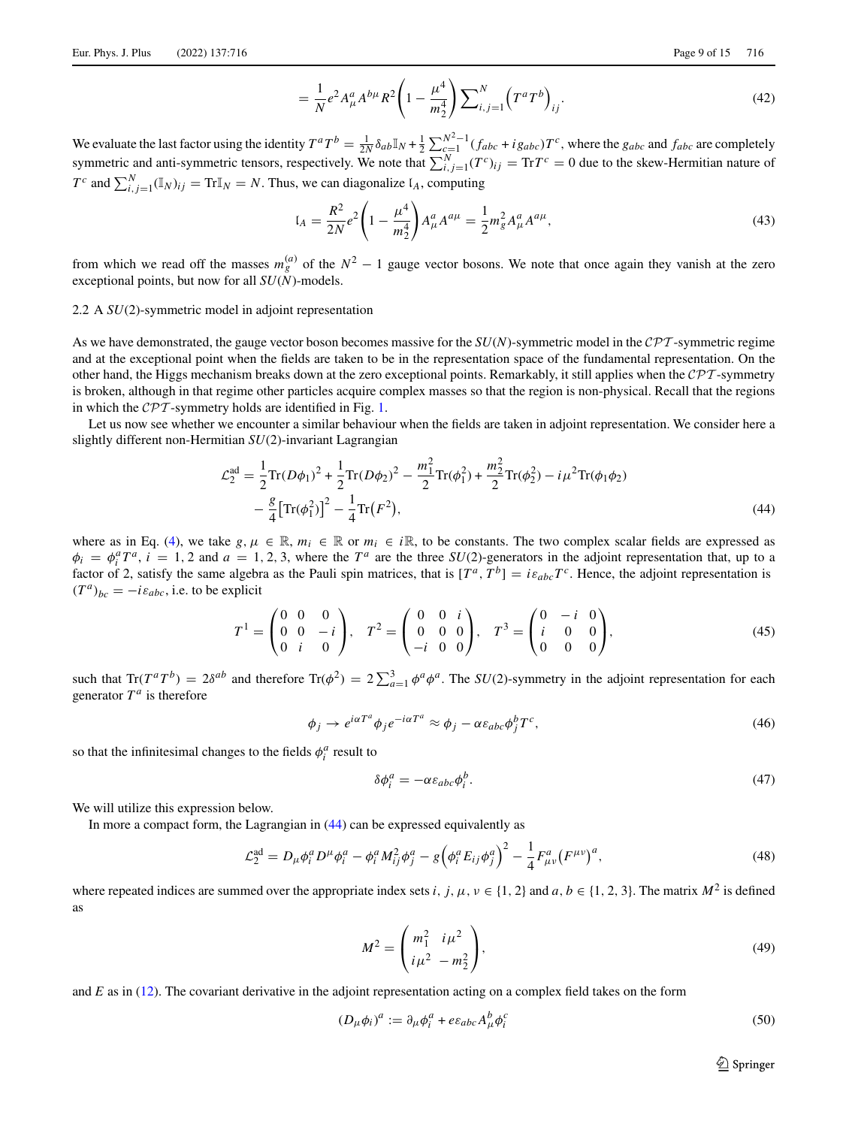$$
= \frac{1}{N} e^2 A^a_\mu A^{b\mu} R^2 \left( 1 - \frac{\mu^4}{m_2^4} \right) \sum_{i,j=1}^N \left( T^a T^b \right)_{ij} . \tag{42}
$$

We evaluate the last factor using the identity  $T^aT^b = \frac{1}{2N} \delta_{ab} \mathbb{I}_N + \frac{1}{2} \sum_{\substack{c=1 \ r \neq b}}^{N^2-1} (f_{abc} + ig_{abc})T^c$ , where the  $g_{abc}$  and  $f_{abc}$  are completely symmetric and anti-symmetric tensors, respectively. We note that  $\sum_{i,j=1}^{N} (T^c)_{ij} = \text{Tr} T^c = 0$  due to the skew-Hermitian nature of  $T^c$  and  $\sum_{i,j=1}^N (\mathbb{I}_N)_{ij} = \text{Tr} \mathbb{I}_N = N$ . Thus, we can diagonalize  $I_A$ , computing

$$
I_A = \frac{R^2}{2N} e^2 \left( 1 - \frac{\mu^4}{m_2^4} \right) A^a_\mu A^{a\mu} = \frac{1}{2} m_g^2 A^a_\mu A^{a\mu}, \tag{43}
$$

from which we read off the masses  $m_g^{(a)}$  of the  $N^2 - 1$  gauge vector bosons. We note that once again they vanish at the zero exceptional points, but now for all *SU*(*N*)-models.

#### <span id="page-8-0"></span>2.2 A *SU*(2)-symmetric model in adjoint representation

As we have demonstrated, the gauge vector boson becomes massive for the *SU*(*N*)-symmetric model in the *CPT* -symmetric regime and at the exceptional point when the fields are taken to be in the representation space of the fundamental representation. On the other hand, the Higgs mechanism breaks down at the zero exceptional points. Remarkably, it still applies when the *CPT* -symmetry is broken, although in that regime other particles acquire complex masses so that the region is non-physical. Recall that the regions in which the *CPT* -symmetry holds are identified in Fig. [1.](#page-6-1)

Let us now see whether we encounter a similar behaviour when the fields are taken in adjoint representation. We consider here a slightly different non-Hermitian *SU*(2)-invariant Lagrangian

$$
\mathcal{L}_2^{\text{ad}} = \frac{1}{2} \text{Tr} (D\phi_1)^2 + \frac{1}{2} \text{Tr} (D\phi_2)^2 - \frac{m_1^2}{2} \text{Tr} (\phi_1^2) + \frac{m_2^2}{2} \text{Tr} (\phi_2^2) - i \mu^2 \text{Tr} (\phi_1 \phi_2) - \frac{g}{4} \left[ \text{Tr} (\phi_1^2) \right]^2 - \frac{1}{4} \text{Tr} (F^2),
$$
\n(44)

where as in Eq. [\(4\)](#page-2-3), we take  $g, \mu \in \mathbb{R}$ ,  $m_i \in \mathbb{R}$  or  $m_i \in i\mathbb{R}$ , to be constants. The two complex scalar fields are expressed as  $\phi_i = \phi_i^a T^a$ ,  $i = 1, 2$  and  $a = 1, 2, 3$ , where the  $T^a$  are the three *SU*(2)-generators in the adjoint representation that, up to a factor of 2, satisfy the same algebra as the Pauli spin matrices, that is  $[T^a, T^b] = i\varepsilon_{abc}T^c$ . Hence, the adjoint representation is  $(T^a)_{bc} = -i\varepsilon_{abc}$ , i.e. to be explicit

$$
T^{1} = \begin{pmatrix} 0 & 0 & 0 \\ 0 & 0 & -i \\ 0 & i & 0 \end{pmatrix}, \quad T^{2} = \begin{pmatrix} 0 & 0 & i \\ 0 & 0 & 0 \\ -i & 0 & 0 \end{pmatrix}, \quad T^{3} = \begin{pmatrix} 0 & -i & 0 \\ i & 0 & 0 \\ 0 & 0 & 0 \end{pmatrix}, \tag{45}
$$

such that  $\text{Tr}(T^a T^b) = 2\delta^{ab}$  and therefore  $\text{Tr}(\phi^2) = 2\sum_{a=1}^3 \phi^a \phi^a$ . The *SU*(2)-symmetry in the adjoint representation for each generator  $T^a$  is therefore

$$
\phi_j \to e^{i\alpha T^a} \phi_j e^{-i\alpha T^a} \approx \phi_j - \alpha \varepsilon_{abc} \phi_j^b T^c,
$$
\n(46)

so that the infinitesimal changes to the fields  $\phi_i^a$  result to

<span id="page-8-4"></span><span id="page-8-3"></span><span id="page-8-2"></span><span id="page-8-1"></span>
$$
\delta \phi_i^a = -\alpha \varepsilon_{abc} \phi_i^b. \tag{47}
$$

We will utilize this expression below.

In more a compact form, the Lagrangian in  $(44)$  can be expressed equivalently as

$$
\mathcal{L}_2^{\text{ad}} = D_{\mu} \phi_i^a D^{\mu} \phi_i^a - \phi_i^a M_{ij}^2 \phi_j^a - g \left( \phi_i^a E_{ij} \phi_j^a \right)^2 - \frac{1}{4} F_{\mu\nu}^a (F^{\mu\nu})^a,
$$
\n(48)

where repeated indices are summed over the appropriate index sets *i*, *j*,  $\mu$ ,  $\nu \in \{1, 2\}$  and  $a, b \in \{1, 2, 3\}$ . The matrix  $M^2$  is defined as

$$
M^{2} = \begin{pmatrix} m_{1}^{2} & i\mu^{2} \\ i\mu^{2} & -m_{2}^{2} \end{pmatrix},
$$
 (49)

and *E* as in [\(12\)](#page-3-0). The covariant derivative in the adjoint representation acting on a complex field takes on the form

$$
(D_{\mu}\phi_i)^a := \partial_{\mu}\phi_i^a + e \varepsilon_{abc} A_{\mu}^b \phi_i^c
$$
\n<sup>(50)</sup>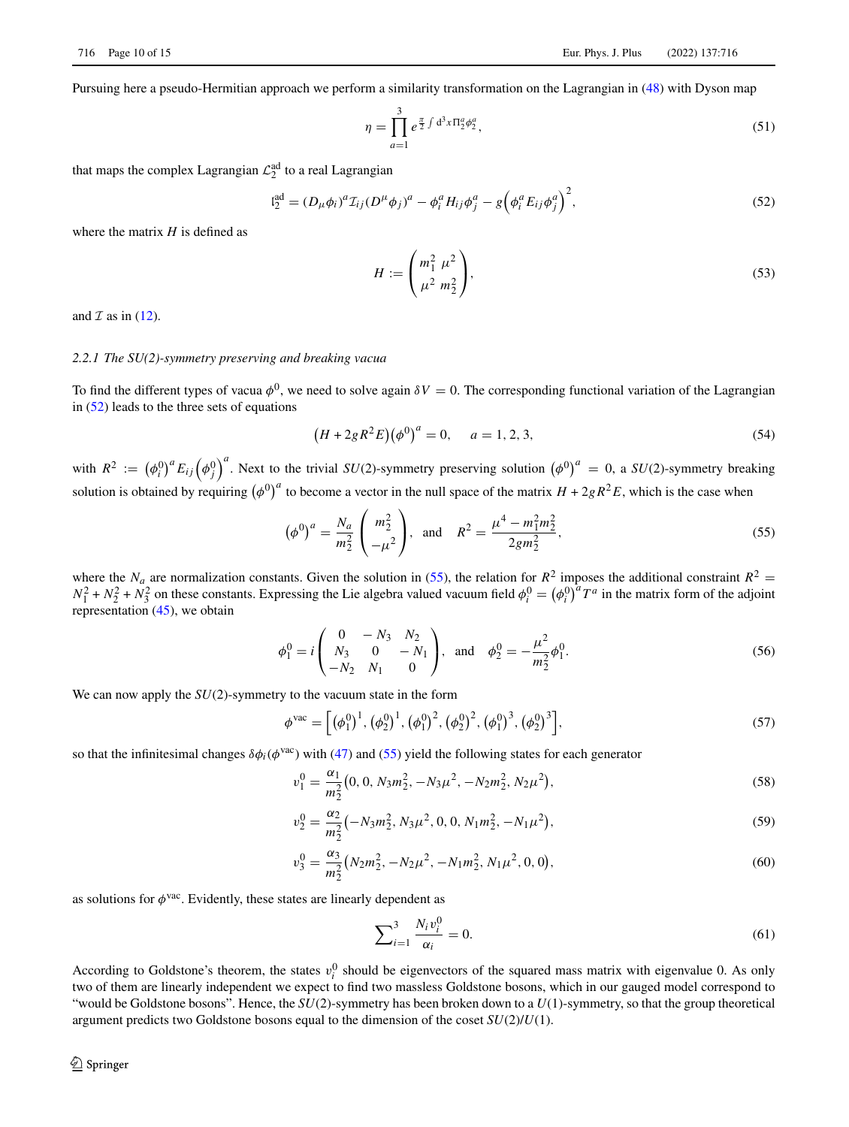Pursuing here a pseudo-Hermitian approach we perform a similarity transformation on the Lagrangian in [\(48\)](#page-8-2) with Dyson map

$$
\eta = \prod_{a=1}^{3} e^{\frac{\pi}{2} \int d^3 x \Pi_2^a \phi_2^a},\tag{51}
$$

that maps the complex Lagrangian  $\mathcal{L}_2^{\text{ad}}$  to a real Lagrangian

$$
I_2^{ad} = (D_{\mu}\phi_i)^a T_{ij} (D^{\mu}\phi_j)^a - \phi_i^a H_{ij}\phi_j^a - g \left(\phi_i^a E_{ij}\phi_j^a\right)^2, \qquad (52)
$$

where the matrix *H* is defined as

<span id="page-9-2"></span><span id="page-9-0"></span>
$$
H := \begin{pmatrix} m_1^2 \ \mu^2 \\ \mu^2 \ m_2^2 \end{pmatrix},\tag{53}
$$

and  $\mathcal I$  as in [\(12\)](#page-3-0).

# *2.2.1 The SU(2)-symmetry preserving and breaking vacua*

To find the different types of vacua  $\phi^0$ , we need to solve again  $\delta V = 0$ . The corresponding functional variation of the Lagrangian in [\(52\)](#page-9-0) leads to the three sets of equations

<span id="page-9-1"></span>
$$
(H + 2gR^{2}E)(\phi^{0})^{a} = 0, \quad a = 1, 2, 3,
$$
\n(54)

with  $R^2 := (\phi_i^0)^a E_{ij} (\phi_j^0)^a$ . Next to the trivial *SU*(2)-symmetry preserving solution  $(\phi^0)^a = 0$ , a *SU*(2)-symmetry breaking solution is obtained by requiring  $(\phi^0)^a$  to become a vector in the null space of the matrix  $H + 2gR^2E$ , which is the case when

$$
\left(\phi^0\right)^a = \frac{N_a}{m_2^2} \begin{pmatrix} m_2^2 \\ -\mu^2 \end{pmatrix}, \text{ and } R^2 = \frac{\mu^4 - m_1^2 m_2^2}{2gm_2^2},
$$
\n(55)

where the  $N_a$  are normalization constants. Given the solution in [\(55\)](#page-9-1), the relation for  $R^2$  imposes the additional constraint  $R^2 = N_1^2 + N_2^2 + N_3^2$  on these constants. Expressing the Lie algebra valued vacuum field representation [\(45\)](#page-8-3), we obtain

$$
\phi_1^0 = i \begin{pmatrix} 0 & -N_3 & N_2 \\ N_3 & 0 & -N_1 \\ -N_2 & N_1 & 0 \end{pmatrix}, \text{ and } \phi_2^0 = -\frac{\mu^2}{m_2^2} \phi_1^0.
$$
 (56)

We can now apply the  $SU(2)$ -symmetry to the vacuum state in the form

$$
\phi^{\text{vac}} = \left[ \left( \phi_1^0 \right)^1, \left( \phi_2^0 \right)^1, \left( \phi_1^0 \right)^2, \left( \phi_2^0 \right)^2, \left( \phi_1^0 \right)^3, \left( \phi_2^0 \right)^3 \right],\tag{57}
$$

so that the infinitesimal changes  $\delta\phi_i(\phi^{\text{vac}})$  with [\(47\)](#page-8-4) and [\(55\)](#page-9-1) yield the following states for each generator

$$
v_1^0 = \frac{\alpha_1}{m_2^2} (0, 0, N_3 m_2^2, -N_3 \mu^2, -N_2 m_2^2, N_2 \mu^2),
$$
\n(58)

$$
v_2^0 = \frac{\alpha_2}{m_2^2} \left( -N_3 m_2^2, N_3 \mu^2, 0, 0, N_1 m_2^2, -N_1 \mu^2 \right),\tag{59}
$$

$$
v_3^0 = \frac{\alpha_3}{m_2^2} (N_2 m_2^2, -N_2 \mu^2, -N_1 m_2^2, N_1 \mu^2, 0, 0),
$$
\n(60)

as solutions for  $\phi$ <sup>vac</sup>. Evidently, these states are linearly dependent as

<span id="page-9-5"></span><span id="page-9-4"></span><span id="page-9-3"></span>
$$
\sum_{i=1}^{3} \frac{N_i v_i^0}{\alpha_i} = 0.
$$
 (61)

According to Goldstone's theorem, the states  $v_i^0$  should be eigenvectors of the squared mass matrix with eigenvalue 0. As only two of them are linearly independent we expect to find two massless Goldstone bosons, which in our gauged model correspond to "would be Goldstone bosons". Hence, the *SU*(2)-symmetry has been broken down to a *U*(1)-symmetry, so that the group theoretical argument predicts two Goldstone bosons equal to the dimension of the coset *SU*(2)/*U*(1).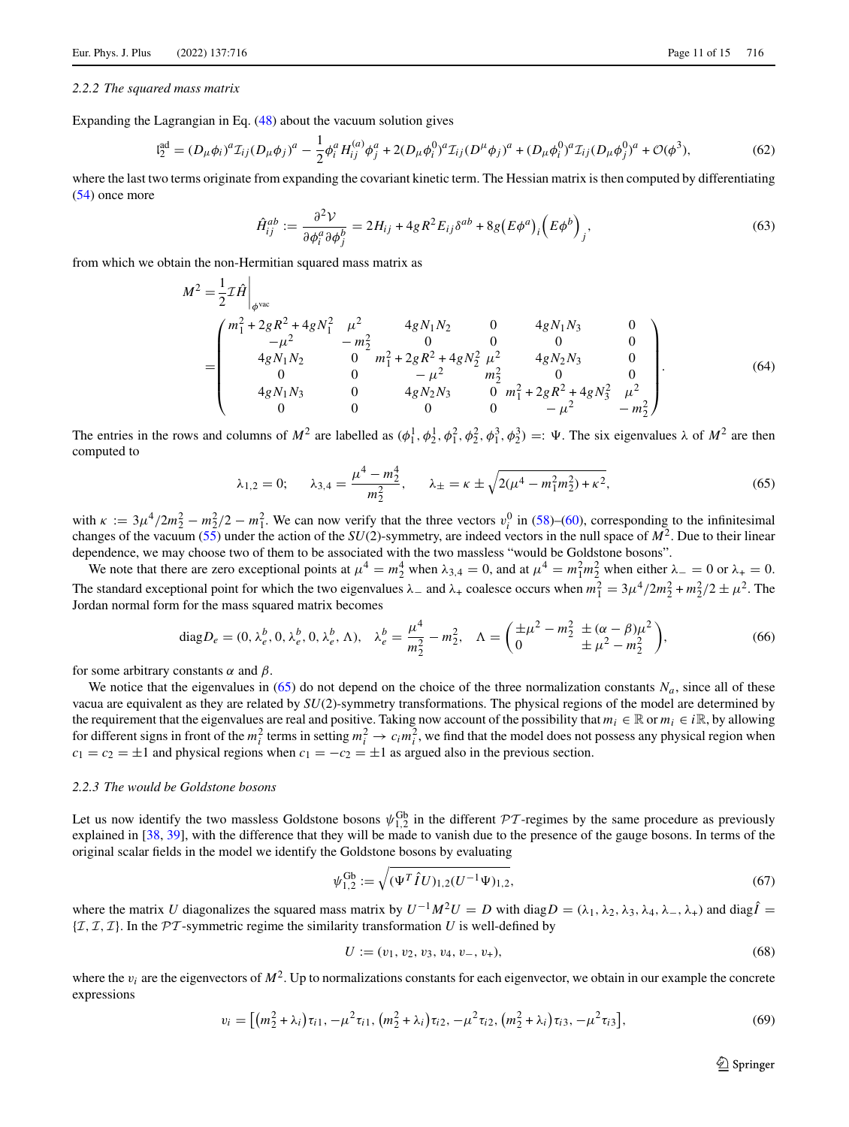#### *2.2.2 The squared mass matrix*

Expanding the Lagrangian in Eq. [\(48\)](#page-8-2) about the vacuum solution gives

$$
I_2^{ad} = (D_\mu \phi_i)^a T_{ij} (D_\mu \phi_j)^a - \frac{1}{2} \phi_i^a H_{ij}^{(a)} \phi_j^a + 2(D_\mu \phi_i^0)^a T_{ij} (D^\mu \phi_j)^a + (D_\mu \phi_i^0)^a T_{ij} (D_\mu \phi_j^0)^a + \mathcal{O}(\phi^3),
$$
\n(62)

where the last two terms originate from expanding the covariant kinetic term. The Hessian matrix is then computed by differentiating [\(54\)](#page-9-2) once more

$$
\hat{H}^{ab}_{ij} := \frac{\partial^2 V}{\partial \phi^a_i \partial \phi^b_j} = 2H_{ij} + 4gR^2 E_{ij} \delta^{ab} + 8g(E\phi^a)_i (E\phi^b)_j,
$$
\n(63)

from which we obtain the non-Hermitian squared mass matrix as

$$
M^{2} = \frac{1}{2}\mathcal{I}\hat{H}\Big|_{\phi^{vac}}
$$
  
= 
$$
\begin{pmatrix} m_{1}^{2} + 2gR^{2} + 4gN_{1}^{2} & \mu^{2} & 4gN_{1}N_{2} & 0 & 4gN_{1}N_{3} & 0 \\ -\mu^{2} & -m_{2}^{2} & 0 & 0 & 0 & 0 \\ 4gN_{1}N_{2} & 0 & m_{1}^{2} + 2gR^{2} + 4gN_{2}^{2} \mu^{2} & 4gN_{2}N_{3} & 0 \\ 0 & 0 & -\mu^{2} & m_{2}^{2} & 0 & 0 \\ 4gN_{1}N_{3} & 0 & 4gN_{2}N_{3} & 0 & m_{1}^{2} + 2gR^{2} + 4gN_{3}^{2} \mu^{2} \\ 0 & 0 & 0 & 0 & -\mu^{2} & -m_{2}^{2} \end{pmatrix}
$$
 (64)

The entries in the rows and columns of  $M^2$  are labelled as  $(\phi_1^1, \phi_2^1, \phi_1^2, \phi_1^2, \phi_2^2, \phi_1^3, \phi_2^3) =: \Psi$ . The six eigenvalues  $\lambda$  of  $M^2$  are then computed to

<span id="page-10-0"></span>
$$
\lambda_{1,2} = 0; \qquad \lambda_{3,4} = \frac{\mu^4 - m_2^4}{m_2^2}, \qquad \lambda_{\pm} = \kappa \pm \sqrt{2(\mu^4 - m_1^2 m_2^2) + \kappa^2},\tag{65}
$$

with  $\kappa := 3\mu^4/2m_2^2 - m_2^2/2 - m_1^2$ . We can now verify that the three vectors  $v_i^0$  in [\(58\)](#page-9-3)–[\(60\)](#page-9-4), corresponding to the infinitesimal changes of the vacuum [\(55\)](#page-9-1) under the action of the *SU*(2)-symmetry, are indeed vectors in the null space of *M*2. Due to their linear dependence, we may choose two of them to be associated with the two massless "would be Goldstone bosons".

We note that there are zero exceptional points at  $\mu^4 = m_2^4$  when  $\lambda_{3,4} = 0$ , and at  $\mu^4 = m_1^2 m_2^2$  when either  $\lambda = 0$  or  $\lambda_+ = 0$ . The standard exceptional point for which the two eigenvalues  $\lambda_-$  and  $\lambda_+$  coalesce occurs when  $m_1^2 = 3\mu^4/2m_2^2 + m_2^2/2 \pm \mu^2$ . The Jordan normal form for the mass squared matrix becomes

diag 
$$
D_e = (0, \lambda_e^b, 0, \lambda_e^b, 0, \lambda_e^b, \Lambda)
$$
,  $\lambda_e^b = \frac{\mu^4}{m_2^2} - m_2^2$ ,  $\Lambda = \left(\frac{\pm \mu^2 - m_2^2 \pm (\alpha - \beta)\mu^2}{\pm \mu^2 - m_2^2}\right)$ , (66)

for some arbitrary constants  $\alpha$  and  $\beta$ .

We notice that the eigenvalues in [\(65\)](#page-10-0) do not depend on the choice of the three normalization constants  $N_a$ , since all of these vacua are equivalent as they are related by *SU*(2)-symmetry transformations. The physical regions of the model are determined by the requirement that the eigenvalues are real and positive. Taking now account of the possibility that  $m_i \in \mathbb{R}$  or  $m_i \in i\mathbb{R}$ , by allowing for different signs in front of the  $m_i^2$  terms in setting  $m_i^2 \to c_i m_i^2$ , we find that the model does not possess any physical region when  $c_1 = c_2 = \pm 1$  and physical regions when  $c_1 = -c_2 = \pm 1$  as argued also in the previous section.

# *2.2.3 The would be Goldstone bosons*

Let us now identify the two massless Goldstone bosons  $\psi_{1,2}^{Gb}$  in the different  $\mathcal{PT}$ -regimes by the same procedure as previously explained in [\[38,](#page-14-18) [39\]](#page-14-19), with the difference that they will be made to vanish due to the presence of the gauge bosons. In terms of the original scalar fields in the model we identify the Goldstone bosons by evaluating

$$
\psi_{1,2}^{\text{Gb}} := \sqrt{(\Psi^T \hat{I} U)_{1,2} (U^{-1} \Psi)_{1,2}},\tag{67}
$$

where the matrix *U* diagonalizes the squared mass matrix by  $U^{-1}M^2U = D$  with diag  $D = (\lambda_1, \lambda_2, \lambda_3, \lambda_4, \lambda_-, \lambda_+)$  and diag  $\hat{I} =$  ${T, T, T}$ . In the *PT*-symmetric regime the similarity transformation *U* is well-defined by

$$
U := (v_1, v_2, v_3, v_4, v_-, v_+), \tag{68}
$$

where the  $v_i$  are the eigenvectors of  $M^2$ . Up to normalizations constants for each eigenvector, we obtain in our example the concrete expressions

$$
v_i = \left[ \left( m_2^2 + \lambda_i \right) \tau_{i1}, -\mu^2 \tau_{i1}, \left( m_2^2 + \lambda_i \right) \tau_{i2}, -\mu^2 \tau_{i2}, \left( m_2^2 + \lambda_i \right) \tau_{i3}, -\mu^2 \tau_{i3} \right],\tag{69}
$$

<span id="page-10-1"></span> $\mathcal{D}$  Springer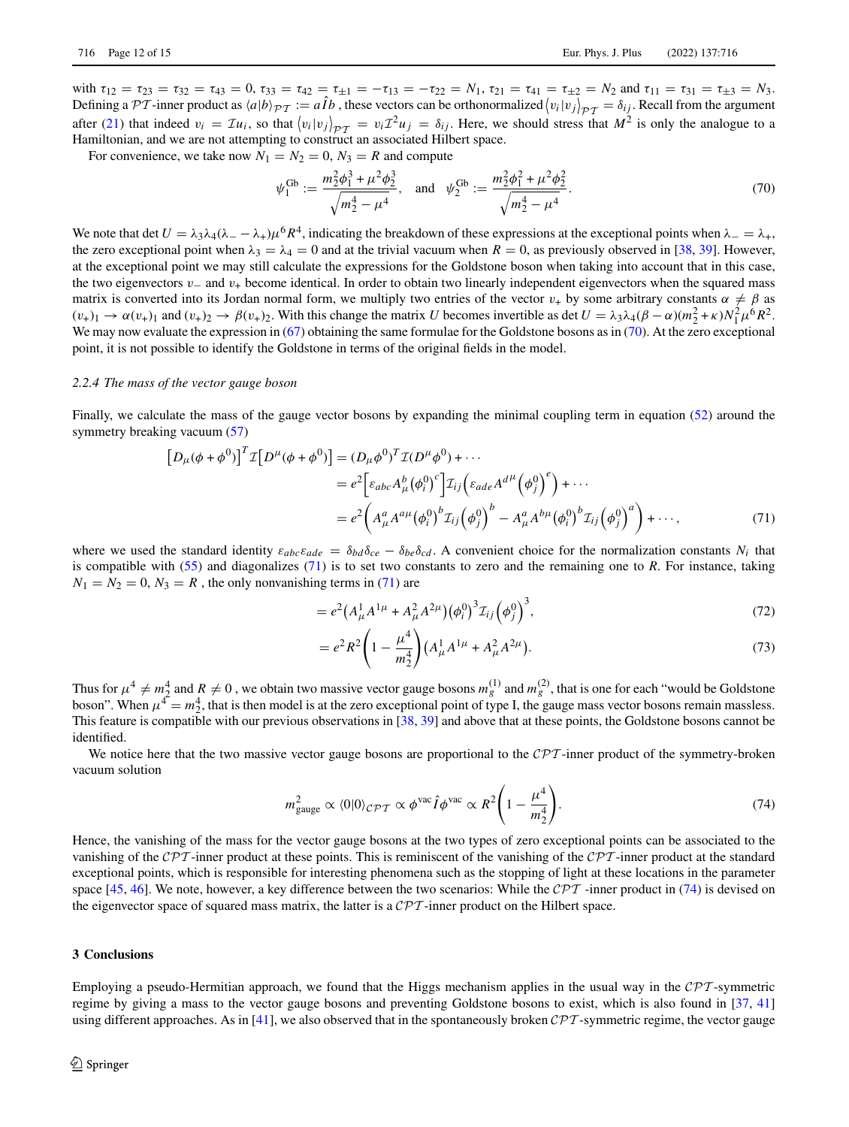with  $\tau_{12} = \tau_{23} = \tau_{32} = \tau_{43} = 0$ ,  $\tau_{33} = \tau_{42} = \tau_{\pm 1} = -\tau_{13} = -\tau_{22} = N_1$ ,  $\tau_{21} = \tau_{41} = \tau_{\pm 2} = N_2$  and  $\tau_{11} = \tau_{31} = \tau_{\pm 3} = N_3$ . Defining a  $\mathcal{PT}$ -inner product as  $\langle a|b \rangle_{\mathcal{PT}} := a\hat{I}b$ , these vectors can be orthonormalized  $\langle v_i|v_j \rangle_{\mathcal{PT}} = \delta_{ij}$ . Recall from the argument after [\(21\)](#page-4-4) that indeed  $v_i = \mathcal{I}u_i$ , so that  $\langle v_i | v_j \rangle_{\mathcal{PT}} = v_i \mathcal{I}^2 u_j = \delta_{ij}$ . Here, we should stress that  $M^2$  is only the analogue to a Hamiltonian, and we are not attempting to construct an associated Hilbert space.

For convenience, we take now  $N_1 = N_2 = 0$ ,  $N_3 = R$  and compute

<span id="page-11-1"></span>
$$
\psi_1^{\text{Gb}} := \frac{m_2^2 \phi_1^3 + \mu^2 \phi_2^3}{\sqrt{m_2^4 - \mu^4}}, \text{ and } \psi_2^{\text{Gb}} := \frac{m_2^2 \phi_1^2 + \mu^2 \phi_2^2}{\sqrt{m_2^4 - \mu^4}}.
$$
\n(70)

We note that det  $U = \lambda_3 \lambda_4 (\lambda_- - \lambda_+) \mu^6 R^4$ , indicating the breakdown of these expressions at the exceptional points when  $\lambda_- = \lambda_+$ , the zero exceptional point when  $\lambda_3 = \lambda_4 = 0$  and at the trivial vacuum when  $R = 0$ , as previously observed in [\[38,](#page-14-18) [39\]](#page-14-19). However, at the exceptional point we may still calculate the expressions for the Goldstone boson when taking into account that in this case, the two eigenvectors v<sup>−</sup> and v<sup>+</sup> become identical. In order to obtain two linearly independent eigenvectors when the squared mass matrix is converted into its Jordan normal form, we multiply two entries of the vector  $v_+$  by some arbitrary constants  $\alpha \neq \beta$  as  $(v_+)_1 \to \alpha(v_+)_1$  and  $(v_+)_2 \to \beta(v_+)_2$ . With this change the matrix *U* becomes invertible as det  $U = \lambda_3 \lambda_4 (\beta - \alpha) (m_2^2 + \kappa) N_1^2 \mu^6 R^2$ . We may now evaluate the expression in [\(67\)](#page-10-1) obtaining the same formulae for the Goldstone bosons as in [\(70\)](#page-11-1). At the zero exceptional point, it is not possible to identify the Goldstone in terms of the original fields in the model.

#### *2.2.4 The mass of the vector gauge boson*

Finally, we calculate the mass of the gauge vector bosons by expanding the minimal coupling term in equation [\(52\)](#page-9-0) around the symmetry breaking vacuum [\(57\)](#page-9-5)

$$
\begin{aligned} \left[D_{\mu}(\phi + \phi^{0})\right]^{T} \mathcal{I} \left[D^{\mu}(\phi + \phi^{0})\right] &= (D_{\mu}\phi^{0})^{T} \mathcal{I}(D^{\mu}\phi^{0}) + \cdots \\ &= e^{2} \Big[ \varepsilon_{abc} A_{\mu}^{b} (\phi_{i}^{0})^{c} \Big] \mathcal{I}_{ij} \Big( \varepsilon_{ade} A^{d\mu} \Big(\phi_{j}^{0}\Big)^{e} \Big) + \cdots \\ &= e^{2} \Big( A_{\mu}^{a} A^{a\mu} \big(\phi_{i}^{0}\big)^{b} \mathcal{I}_{ij} \Big(\phi_{j}^{0}\Big)^{b} - A_{\mu}^{a} A^{b\mu} \big(\phi_{i}^{0}\big)^{b} \mathcal{I}_{ij} \Big(\phi_{j}^{0}\Big)^{a} \Big) + \cdots, \end{aligned} \tag{71}
$$

where we used the standard identity  $\varepsilon_{abc}\varepsilon_{ade} = \delta_{bd}\delta_{ce} - \delta_{be}\delta_{cd}$ . A convenient choice for the normalization constants  $N_i$  that is compatible with [\(55\)](#page-9-1) and diagonalizes [\(71\)](#page-11-2) is to set two constants to zero and the remaining one to *R*. For instance, taking  $N_1 = N_2 = 0$ ,  $N_3 = R$ , the only nonvanishing terms in [\(71\)](#page-11-2) are

<span id="page-11-2"></span>
$$
=e^{2}(A_{\mu}^{1}A^{1\mu}+A_{\mu}^{2}A^{2\mu})(\phi_{i}^{0})^{3}\mathcal{I}_{ij}(\phi_{j}^{0})^{3}, \qquad (72)
$$

<span id="page-11-3"></span>
$$
= e^2 R^2 \left( 1 - \frac{\mu^4}{m_2^4} \right) \left( A_\mu^1 A^{1\mu} + A_\mu^2 A^{2\mu} \right). \tag{73}
$$

Thus for  $\mu^4 \neq m_2^4$  and  $R \neq 0$ , we obtain two massive vector gauge bosons  $m_g^{(1)}$  and  $m_g^{(2)}$ , that is one for each "would be Goldstone" boson". When  $\mu^4 = m_2^4$ , that is then model is at the zero exceptional point of type I, the gauge mass vector bosons remain massless. This feature is compatible with our previous observations in [\[38,](#page-14-18) [39\]](#page-14-19) and above that at these points, the Goldstone bosons cannot be identified.

We notice here that the two massive vector gauge bosons are proportional to the *CPT*-inner product of the symmetry-broken vacuum solution

$$
m_{\text{gauge}}^2 \propto \langle 0|0\rangle_{\mathcal{CPT}} \propto \phi^{\text{vac}} \hat{I} \phi^{\text{vac}} \propto R^2 \left(1 - \frac{\mu^4}{m_2^4}\right). \tag{74}
$$

Hence, the vanishing of the mass for the vector gauge bosons at the two types of zero exceptional points can be associated to the vanishing of the *CPT* -inner product at these points. This is reminiscent of the vanishing of the *CPT* -inner product at the standard exceptional points, which is responsible for interesting phenomena such as the stopping of light at these locations in the parameter space [\[45,](#page-14-26) [46\]](#page-14-27). We note, however, a key difference between the two scenarios: While the  $\mathcal{CPT}$  -inner product in [\(74\)](#page-11-3) is devised on the eigenvector space of squared mass matrix, the latter is a *CPT* -inner product on the Hilbert space.

# <span id="page-11-0"></span>**3 Conclusions**

Employing a pseudo-Hermitian approach, we found that the Higgs mechanism applies in the usual way in the *CPT* -symmetric regime by giving a mass to the vector gauge bosons and preventing Goldstone bosons to exist, which is also found in [\[37,](#page-14-17) [41\]](#page-14-21) using different approaches. As in [\[41\]](#page-14-21), we also observed that in the spontaneously broken *CPT* -symmetric regime, the vector gauge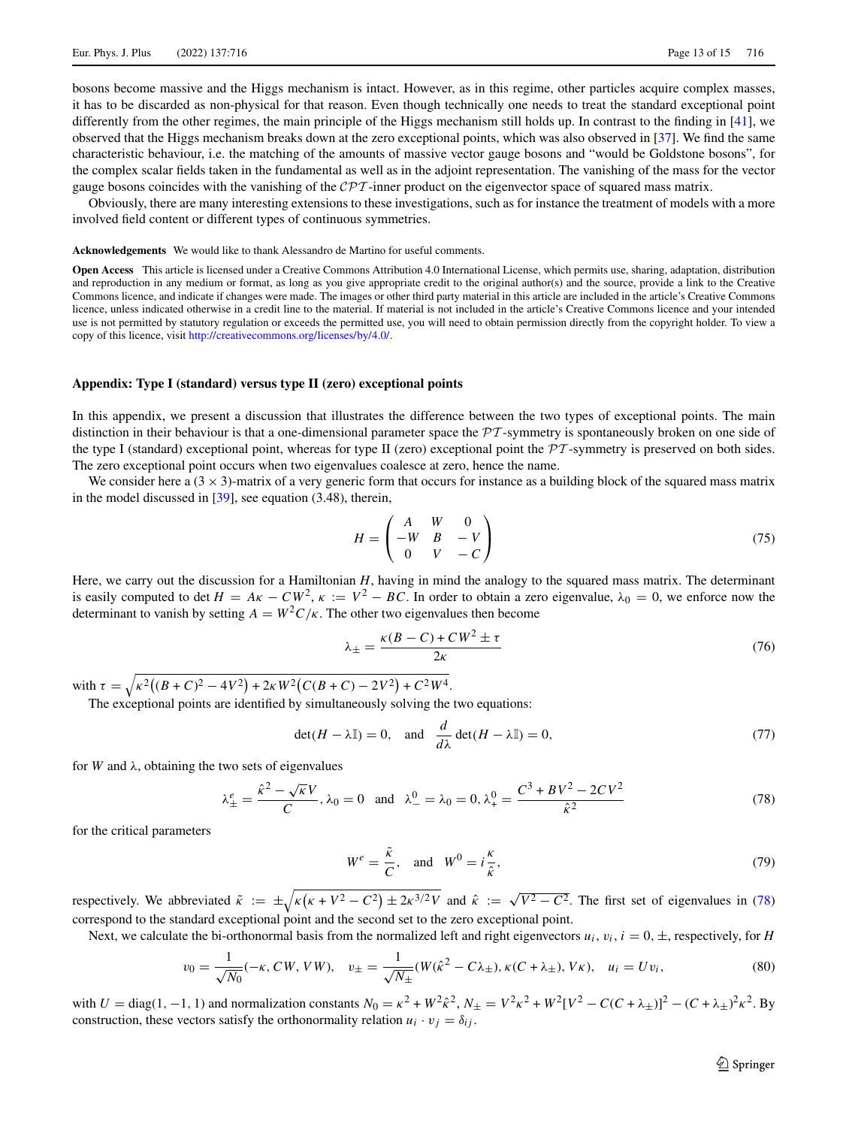bosons become massive and the Higgs mechanism is intact. However, as in this regime, other particles acquire complex masses, it has to be discarded as non-physical for that reason. Even though technically one needs to treat the standard exceptional point differently from the other regimes, the main principle of the Higgs mechanism still holds up. In contrast to the finding in [\[41\]](#page-14-21), we observed that the Higgs mechanism breaks down at the zero exceptional points, which was also observed in [\[37\]](#page-14-17). We find the same characteristic behaviour, i.e. the matching of the amounts of massive vector gauge bosons and "would be Goldstone bosons", for the complex scalar fields taken in the fundamental as well as in the adjoint representation. The vanishing of the mass for the vector gauge bosons coincides with the vanishing of the *CPT* -inner product on the eigenvector space of squared mass matrix.

Obviously, there are many interesting extensions to these investigations, such as for instance the treatment of models with a more involved field content or different types of continuous symmetries.

**Acknowledgements** We would like to thank Alessandro de Martino for useful comments.

**Open Access** This article is licensed under a Creative Commons Attribution 4.0 International License, which permits use, sharing, adaptation, distribution and reproduction in any medium or format, as long as you give appropriate credit to the original author(s) and the source, provide a link to the Creative Commons licence, and indicate if changes were made. The images or other third party material in this article are included in the article's Creative Commons licence, unless indicated otherwise in a credit line to the material. If material is not included in the article's Creative Commons licence and your intended use is not permitted by statutory regulation or exceeds the permitted use, you will need to obtain permission directly from the copyright holder. To view a copy of this licence, visit [http://creativecommons.org/licenses/by/4.0/.](http://creativecommons.org/licenses/by/4.0/)

## **Appendix: Type I (standard) versus type II (zero) exceptional points**

In this appendix, we present a discussion that illustrates the difference between the two types of exceptional points. The main distinction in their behaviour is that a one-dimensional parameter space the *PT* -symmetry is spontaneously broken on one side of the type I (standard) exceptional point, whereas for type II (zero) exceptional point the *PT* -symmetry is preserved on both sides. The zero exceptional point occurs when two eigenvalues coalesce at zero, hence the name.

We consider here a  $(3 \times 3)$ -matrix of a very generic form that occurs for instance as a building block of the squared mass matrix in the model discussed in  $[39]$ , see equation (3.48), therein,

$$
H = \begin{pmatrix} A & W & 0 \\ -W & B & -V \\ 0 & V & -C \end{pmatrix} \tag{75}
$$

Here, we carry out the discussion for a Hamiltonian *H*, having in mind the analogy to the squared mass matrix. The determinant is easily computed to det  $H = Ak - CW^2$ ,  $\kappa := V^2 - BC$ . In order to obtain a zero eigenvalue,  $\lambda_0 = 0$ , we enforce now the determinant to vanish by setting  $A = W^2 C / \kappa$ . The other two eigenvalues then become

<span id="page-12-1"></span>
$$
\lambda_{\pm} = \frac{\kappa (B - C) + C W^2 \pm \tau}{2 \kappa} \tag{76}
$$

with  $\tau = \sqrt{\kappa^2((B+C)^2 - 4V^2) + 2\kappa W^2(C(B+C) - 2V^2) + C^2W^4}$ .

The exceptional points are identified by simultaneously solving the two equations:

$$
\det(H - \lambda \mathbb{I}) = 0, \text{ and } \frac{d}{d\lambda} \det(H - \lambda \mathbb{I}) = 0,
$$
\n(77)

for *W* and  $\lambda$ , obtaining the two sets of eigenvalues

$$
\lambda_{\pm}^{e} = \frac{\hat{\kappa}^{2} - \sqrt{\kappa}V}{C}, \lambda_{0} = 0 \text{ and } \lambda_{-}^{0} = \lambda_{0} = 0, \lambda_{+}^{0} = \frac{C^{3} + BV^{2} - 2CV^{2}}{\hat{\kappa}^{2}}
$$
(78)

for the critical parameters

<span id="page-12-2"></span><span id="page-12-0"></span>
$$
W^e = \frac{\tilde{\kappa}}{C}, \text{ and } W^0 = i\frac{\kappa}{\hat{\kappa}}, \tag{79}
$$

respectively. We abbreviated  $\tilde{\kappa} := \pm \sqrt{\kappa(\kappa + V^2 - C^2) \pm 2\kappa^{3/2}V}$  and  $\hat{\kappa} := \sqrt{V^2 - C^2}$ . The first set of eigenvalues in [\(78\)](#page-12-0) correspond to the standard exceptional point and the second set to the zero exceptional point.

Next, we calculate the bi-orthonormal basis from the normalized left and right eigenvectors  $u_i$ ,  $v_i$ ,  $i = 0, \pm$ , respectively, for *H* 

$$
v_0 = \frac{1}{\sqrt{N_0}}(-\kappa, CW, VW), \quad v_{\pm} = \frac{1}{\sqrt{N_{\pm}}}(W(\hat{\kappa}^2 - C\lambda_{\pm}), \kappa(C + \lambda_{\pm}), V\kappa), \quad u_i = Uv_i,
$$
\n(80)

with  $U = \text{diag}(1, -1, 1)$  and normalization constants  $N_0 = \kappa^2 + W^2 \hat{\kappa}^2$ ,  $N_{\pm} = V^2 \kappa^2 + W^2 [V^2 - C(C + \lambda_{\pm})]^2 - (C + \lambda_{\pm})^2 \kappa^2$ . By construction, these vectors satisfy the orthonormality relation  $u_i \cdot v_j = \delta_{ij}$ .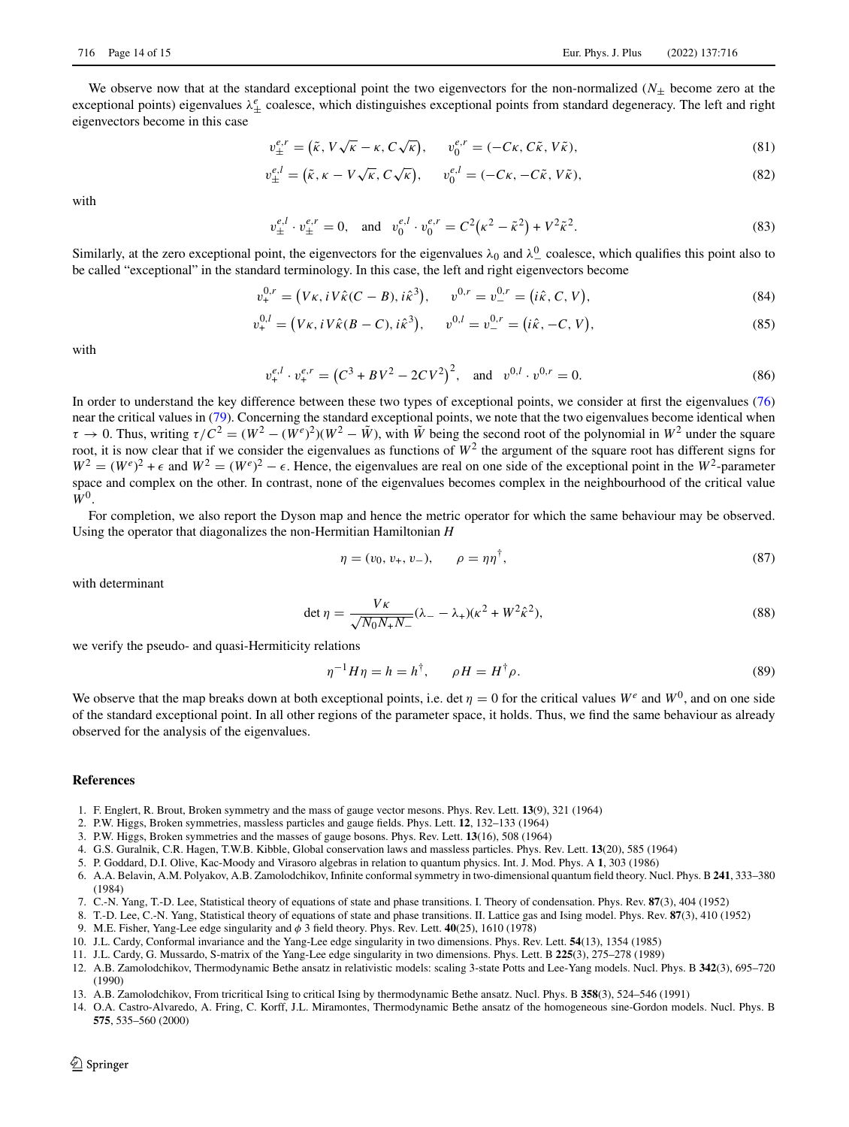We observe now that at the standard exceptional point the two eigenvectors for the non-normalized  $(N<sub>+</sub>$  become zero at the exceptional points) eigenvalues  $\lambda_{\pm}^{e}$  coalesce, which distinguishes exceptional points from standard degeneracy. The left and right eigenvectors become in this case

$$
v_{\pm}^{e,r} = (\tilde{\kappa}, V\sqrt{\kappa} - \kappa, C\sqrt{\kappa}), \qquad v_0^{e,r} = (-C\kappa, C\tilde{\kappa}, V\tilde{\kappa}), \tag{81}
$$

$$
v_{\pm}^{e,l} = (\tilde{\kappa}, \kappa - V\sqrt{\kappa}, C\sqrt{\kappa}), \qquad v_0^{e,l} = (-C\kappa, -C\tilde{\kappa}, V\tilde{\kappa}), \tag{82}
$$

with

$$
v_{\pm}^{e,l} \cdot v_{\pm}^{e,r} = 0, \quad \text{and} \quad v_0^{e,l} \cdot v_0^{e,r} = C^2(\kappa^2 - \tilde{\kappa}^2) + V^2 \tilde{\kappa}^2. \tag{83}
$$

Similarly, at the zero exceptional point, the eigenvectors for the eigenvalues  $\lambda_0$  and  $\lambda_-^0$  coalesce, which qualifies this point also to be called "exceptional" in the standard terminology. In this case, the left and right eigenvectors become

$$
v_{+}^{0,r} = (V\kappa, iV\hat{\kappa}(C-B), i\hat{\kappa}^{3}), \qquad v_{-}^{0,r} = v_{-}^{0,r} = (i\hat{\kappa}, C, V), \tag{84}
$$

$$
v_{+}^{0,l} = (V\kappa, iV\hat{\kappa}(B-C), i\hat{\kappa}^{3}), \qquad v_{-}^{0,l} = v_{-}^{0,r} = (i\hat{\kappa}, -C, V), \tag{85}
$$

with

$$
v_{+}^{e,l} \cdot v_{+}^{e,r} = (C^3 + BV^2 - 2CV^2)^2, \text{ and } v_{-}^{0,l} \cdot v_{-}^{0,r} = 0.
$$
 (86)

In order to understand the key difference between these two types of exceptional points, we consider at first the eigenvalues [\(76\)](#page-12-1) near the critical values in [\(79\)](#page-12-2). Concerning the standard exceptional points, we note that the two eigenvalues become identical when  $\tau \to 0$ . Thus, writing  $\tau/C^2 = (W^2 - (W^e)^2)(W^2 - \tilde{W})$ , with  $\tilde{W}$  being the second root of the polynomial in  $W^2$  under the square root, it is now clear that if we consider the eigenvalues as functions of  $W^2$  the argument of the square root has different signs for  $W^2 = (W^e)^2 + \epsilon$  and  $W^2 = (W^e)^2 - \epsilon$ . Hence, the eigenvalues are real on one side of the exceptional point in the  $W^2$ -parameter space and complex on the other. In contrast, none of the eigenvalues becomes complex in the neighbourhood of the critical value  $W^0$ .

For completion, we also report the Dyson map and hence the metric operator for which the same behaviour may be observed. Using the operator that diagonalizes the non-Hermitian Hamiltonian *H*

$$
\eta = (v_0, v_+, v_-), \qquad \rho = \eta \eta^{\dagger}, \tag{87}
$$

with determinant

$$
\det \eta = \frac{V\kappa}{\sqrt{N_0 N_+ N_-}} (\lambda_- - \lambda_+)(\kappa^2 + W^2 \hat{\kappa}^2),\tag{88}
$$

we verify the pseudo- and quasi-Hermiticity relations

$$
\eta^{-1}H\eta = h = h^{\dagger}, \qquad \rho H = H^{\dagger}\rho. \tag{89}
$$

We observe that the map breaks down at both exceptional points, i.e. det  $\eta = 0$  for the critical values  $W^e$  and  $W^0$ , and on one side of the standard exceptional point. In all other regions of the parameter space, it holds. Thus, we find the same behaviour as already observed for the analysis of the eigenvalues.

#### **References**

- <span id="page-13-0"></span>1. F. Englert, R. Brout, Broken symmetry and the mass of gauge vector mesons. Phys. Rev. Lett. **13**(9), 321 (1964)
- 2. P.W. Higgs, Broken symmetries, massless particles and gauge fields. Phys. Lett. **12**, 132–133 (1964)
- 3. P.W. Higgs, Broken symmetries and the masses of gauge bosons. Phys. Rev. Lett. **13**(16), 508 (1964)
- <span id="page-13-1"></span>4. G.S. Guralnik, C.R. Hagen, T.W.B. Kibble, Global conservation laws and massless particles. Phys. Rev. Lett. **13**(20), 585 (1964)
- <span id="page-13-2"></span>5. P. Goddard, D.I. Olive, Kac-Moody and Virasoro algebras in relation to quantum physics. Int. J. Mod. Phys. A **1**, 303 (1986)
- <span id="page-13-3"></span>6. A.A. Belavin, A.M. Polyakov, A.B. Zamolodchikov, Infinite conformal symmetry in two-dimensional quantum field theory. Nucl. Phys. B **241**, 333–380 (1984)
- <span id="page-13-4"></span>7. C.-N. Yang, T.-D. Lee, Statistical theory of equations of state and phase transitions. I. Theory of condensation. Phys. Rev. **87**(3), 404 (1952)
- <span id="page-13-5"></span>8. T.-D. Lee, C.-N. Yang, Statistical theory of equations of state and phase transitions. II. Lattice gas and Ising model. Phys. Rev. **87**(3), 410 (1952)
- <span id="page-13-6"></span>9. M.E. Fisher, Yang-Lee edge singularity and φ 3 field theory. Phys. Rev. Lett. **40**(25), 1610 (1978)
- <span id="page-13-7"></span>10. J.L. Cardy, Conformal invariance and the Yang-Lee edge singularity in two dimensions. Phys. Rev. Lett. **54**(13), 1354 (1985)
- <span id="page-13-8"></span>11. J.L. Cardy, G. Mussardo, S-matrix of the Yang-Lee edge singularity in two dimensions. Phys. Lett. B **225**(3), 275–278 (1989)
- <span id="page-13-9"></span>12. A.B. Zamolodchikov, Thermodynamic Bethe ansatz in relativistic models: scaling 3-state Potts and Lee-Yang models. Nucl. Phys. B **342**(3), 695–720 (1990)
- <span id="page-13-10"></span>13. A.B. Zamolodchikov, From tricritical Ising to critical Ising by thermodynamic Bethe ansatz. Nucl. Phys. B **358**(3), 524–546 (1991)
- <span id="page-13-11"></span>14. O.A. Castro-Alvaredo, A. Fring, C. Korff, J.L. Miramontes, Thermodynamic Bethe ansatz of the homogeneous sine-Gordon models. Nucl. Phys. B **575**, 535–560 (2000)